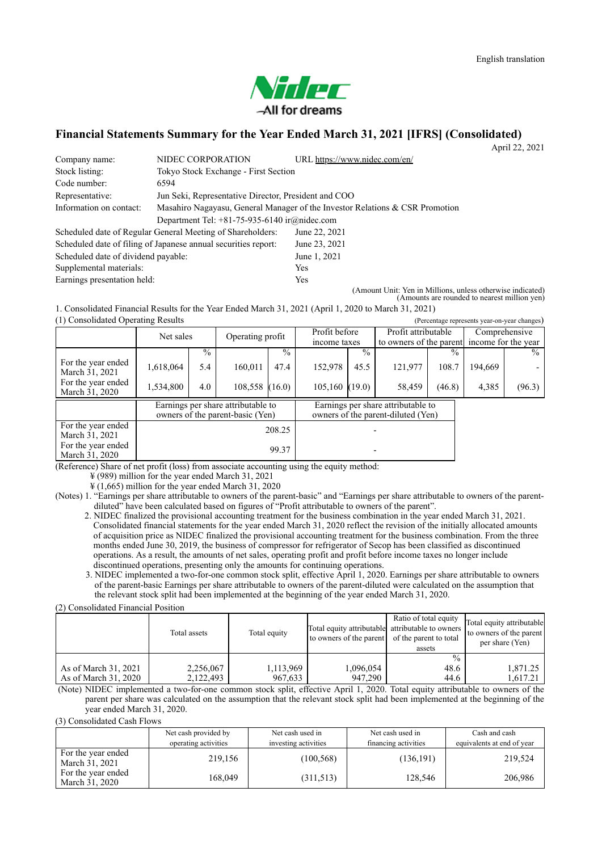

## **Financial Statements Summary for the Year Ended March 31, 2021 [IFRS] (Consolidated)**

April 22, 2021

| Company name:                       | NIDEC CORPORATION                                                            | URL https://www.nidec.com/en/ |  |  |  |  |
|-------------------------------------|------------------------------------------------------------------------------|-------------------------------|--|--|--|--|
| Stock listing:                      | Tokyo Stock Exchange - First Section                                         |                               |  |  |  |  |
| Code number:                        | 6594                                                                         |                               |  |  |  |  |
| Representative:                     | Jun Seki, Representative Director, President and COO                         |                               |  |  |  |  |
| Information on contact:             | Masahiro Nagayasu, General Manager of the Investor Relations & CSR Promotion |                               |  |  |  |  |
|                                     | Department Tel: $+81-75-935-6140$ ir $@nidec.com$                            |                               |  |  |  |  |
|                                     | Scheduled date of Regular General Meeting of Shareholders:                   | June 22, 2021                 |  |  |  |  |
|                                     | Scheduled date of filing of Japanese annual securities report:               | June 23, 2021                 |  |  |  |  |
| Scheduled date of dividend payable: |                                                                              | June 1, 2021                  |  |  |  |  |
| Supplemental materials:             |                                                                              | <b>Yes</b>                    |  |  |  |  |
| Earnings presentation held:         |                                                                              | Yes                           |  |  |  |  |

(Amount Unit: Yen in Millions, unless otherwise indicated) (Amounts are rounded to nearest million yen)

 $(1)$  Consolidated Operating Results 1. Consolidated Financial Results for the Year Ended March 31, 2021 (April 1, 2020 to March 31, 2021)

| (1) Consondated Operating Results                                      |           |               |                  |                                                                          |                               |               |                                                                    |        |         | (Percentage represents year-on-year changes) |
|------------------------------------------------------------------------|-----------|---------------|------------------|--------------------------------------------------------------------------|-------------------------------|---------------|--------------------------------------------------------------------|--------|---------|----------------------------------------------|
|                                                                        | Net sales |               | Operating profit |                                                                          | Profit before<br>income taxes |               | Profit attributable<br>to owners of the parent income for the year |        |         | Comprehensive                                |
|                                                                        |           | $\frac{0}{0}$ |                  | $\frac{0}{0}$                                                            |                               | $\frac{0}{0}$ |                                                                    |        |         | $\frac{0}{0}$                                |
| For the year ended<br>March 31, 2021                                   | 1,618,064 | 5.4           | 160,011          | 47.4                                                                     | 152,978                       | 45.5          | 121,977                                                            | 108.7  | 194,669 |                                              |
| For the year ended<br>March 31, 2020                                   | 1,534,800 | 4.0           | 108,558          | (16.0)                                                                   | 105,160(19.0)                 |               | 58,459                                                             | (46.8) | 4,385   | (96.3)                                       |
| Earnings per share attributable to<br>owners of the parent-basic (Yen) |           |               |                  | Earnings per share attributable to<br>owners of the parent-diluted (Yen) |                               |               |                                                                    |        |         |                                              |
| For the year ended<br>March 31, 2021                                   |           | 208.25        |                  |                                                                          |                               |               |                                                                    |        |         |                                              |
| For the year ended<br>March 31, 2020                                   |           |               |                  | 99.37                                                                    |                               |               |                                                                    |        |         |                                              |

(Reference) Share of net profit (loss) from associate accounting using the equity method:

¥ (989) million for the year ended March 31, 2021

¥ (1,665) million for the year ended March 31, 2020

(Notes) 1. "Earnings per share attributable to owners of the parent-basic" and "Earnings per share attributable to owners of the parentdiluted" have been calculated based on figures of "Profit attributable to owners of the parent".

2. NIDEC finalized the provisional accounting treatment for the business combination in the year ended March 31, 2021. Consolidated financial statements for the year ended March 31, 2020 reflect the revision of the initially allocated amounts of acquisition price as NIDEC finalized the provisional accounting treatment for the business combination. From the three months ended June 30, 2019, the business of compressor for refrigerator of Secop has been classified as discontinued operations. As a result, the amounts of net sales, operating profit and profit before income taxes no longer include discontinued operations, presenting only the amounts for continuing operations.

3. NIDEC implemented a two-for-one common stock split, effective April 1, 2020. Earnings per share attributable to owners of the parent-basic Earnings per share attributable to owners of the parent-diluted were calculated on the assumption that the relevant stock split had been implemented at the beginning of the year ended March 31, 2020.

(2) Consolidated Financial Position

|                                              | Total assets           | Total equity         | Total equity attributable attributable to owners<br>to owners of the parent | Ratio of total equity<br>of the parent to total<br>assets | Total equity attributable<br>to owners of the parent<br>per share (Yen) |
|----------------------------------------------|------------------------|----------------------|-----------------------------------------------------------------------------|-----------------------------------------------------------|-------------------------------------------------------------------------|
| As of March 31, 2021<br>As of March 31, 2020 | 2,256,067<br>2,122,493 | 1,113,969<br>967,633 | 1,096,054<br>947,290                                                        | $\frac{0}{0}$<br>48.6<br>44.6                             | 1.871.25<br>1.617.21                                                    |

(Note) NIDEC implemented a two-for-one common stock split, effective April 1, 2020. Total equity attributable to owners of the parent per share was calculated on the assumption that the relevant stock split had been implemented at the beginning of the year ended March 31, 2020.

(3) Consolidated Cash Flows

|                                      | Net cash provided by<br>operating activities | Net cash used in<br>investing activities | Net cash used in<br>financing activities | Cash and cash<br>equivalents at end of year |
|--------------------------------------|----------------------------------------------|------------------------------------------|------------------------------------------|---------------------------------------------|
| For the year ended<br>March 31, 2021 | 219,156                                      | (100, 568)                               | (136,191)                                | 219,524                                     |
| For the year ended<br>March 31, 2020 | 168.049                                      | (311,513)                                | 128,546                                  | 206,986                                     |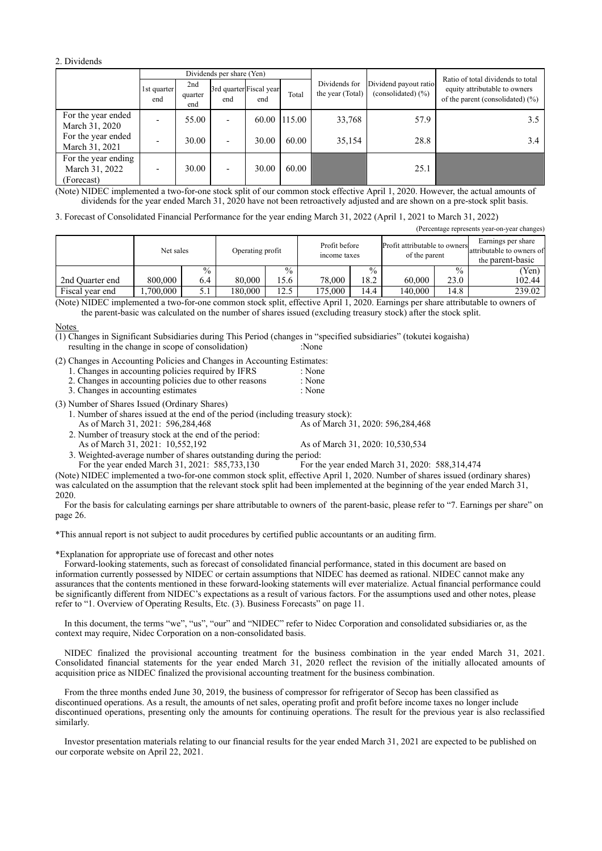2. Dividends

|                                                     | Dividends per share (Yen) |                       |                          |                                |              |                                   |                                                 | Ratio of total dividends to total                                     |  |
|-----------------------------------------------------|---------------------------|-----------------------|--------------------------|--------------------------------|--------------|-----------------------------------|-------------------------------------------------|-----------------------------------------------------------------------|--|
|                                                     | 1st quarter<br>end        | 2nd<br>quarter<br>end | end                      | 3rd quarter Fiscal year<br>end | Total        | Dividends for<br>the year (Total) | Dividend payout ratio<br>(consolidated) $(\% )$ | equity attributable to owners<br>of the parent (consolidated) $(\% )$ |  |
| For the year ended<br>March 31, 2020                |                           | 55.00                 | $\overline{\phantom{a}}$ |                                | 60.00 115.00 | 33,768                            | 57.9                                            | $3.5^{\circ}$                                                         |  |
| For the year ended<br>March 31, 2021                |                           | 30.00                 | $\overline{\phantom{0}}$ | 30.00                          | 60.00        | 35,154                            | 28.8                                            | 3.4                                                                   |  |
| For the year ending<br>March 31, 2022<br>(Forecast) |                           | 30.00                 | $\overline{\phantom{a}}$ | 30.00                          | 60.00        |                                   | 25.1                                            |                                                                       |  |

(Note) NIDEC implemented a two-for-one stock split of our common stock effective April 1, 2020. However, the actual amounts of dividends for the year ended March 31, 2020 have not been retroactively adjusted and are shown on a pre-stock split basis.

3. Forecast of Consolidated Financial Performance for the year ending March 31, 2022 (April 1, 2021 to March 31, 2022)

(Percentage represents year-on-year changes)

|                 | Net sales |               |         | Operating profit |         | Profit before<br>income taxes |         | Profit attributable to owners<br>of the parent | Earnings per share<br>attributable to owners of<br>the parent-basic |
|-----------------|-----------|---------------|---------|------------------|---------|-------------------------------|---------|------------------------------------------------|---------------------------------------------------------------------|
|                 |           | $\frac{0}{0}$ |         | $\frac{0}{0}$    |         | $\frac{0}{0}$                 |         | $\frac{0}{0}$                                  | (Yen)                                                               |
| 2nd Ouarter end | 800,000   | 6.4           | 80,000  | 5.6              | 78,000  | 18.2                          | 60,000  | 23.0                                           | 102.44                                                              |
| Fiscal vear end | .700.000  | 5.1           | 180.000 | 12.5             | 175.000 | 14.4                          | 140.000 | 14.8                                           | 239.02                                                              |

(Note) NIDEC implemented a two-for-one common stock split, effective April 1, 2020. Earnings per share attributable to owners of the parent-basic was calculated on the number of shares issued (excluding treasury stock) after the stock split.

#### **Notes**

resulting in the change in scope of consolidation) :None  $(1)$  Changes in Significant Subsidiaries during This Period (changes in "specified subsidiaries" (tokutei kogaisha)

(2) Changes in Accounting Policies and Changes in Accounting Estimates:

- 1. Changes in accounting policies required by IFRS : None<br>2. Changes in accounting policies due to other reasons : None
- 2. Changes in accounting policies due to other reasons
- 3. Changes in accounting estimates : None

(3) Number of Shares Issued (Ordinary Shares)

1. Number of shares issued at the end of the period (including treasury stock):

As of March 31, 2021: 596,284,468 As of March 31, 2020: 596,284,468

2. Number of treasury stock at the end of the period:

As of March 31, 2021: 10,552,192 As of March 31, 2020: 10,530,534

3. Weighted-average number of shares outstanding during the period:

For the year ended March 31, 2021: 585,733,130 For the year ended March 31, 2020: 588,314,474 (Note) NIDEC implemented a two-for-one common stock split, effective April 1, 2020. Number of shares issued (ordinary shares)

was calculated on the assumption that the relevant stock split had been implemented at the beginning of the year ended March 31, 2020.

For the basis for calculating earnings per share attributable to owners of the parent-basic, please refer to "7. Earnings per share" on page 26.

\*This annual report is not subject to audit procedures by certified public accountants or an auditing firm.

\*Explanation for appropriate use of forecast and other notes

Forward-looking statements, such as forecast of consolidated financial performance, stated in this document are based on information currently possessed by NIDEC or certain assumptions that NIDEC has deemed as rational. NIDEC cannot make any assurances that the contents mentioned in these forward-looking statements will ever materialize. Actual financial performance could be significantly different from NIDEC's expectations as a result of various factors. For the assumptions used and other notes, please refer to "1. Overview of Operating Results, Etc. (3). Business Forecasts" on page 11.

In this document, the terms "we", "us", "our" and "NIDEC" refer to Nidec Corporation and consolidated subsidiaries or, as the context may require, Nidec Corporation on a non-consolidated basis.

NIDEC finalized the provisional accounting treatment for the business combination in the year ended March 31, 2021. Consolidated financial statements for the year ended March 31, 2020 reflect the revision of the initially allocated amounts of acquisition price as NIDEC finalized the provisional accounting treatment for the business combination.

From the three months ended June 30, 2019, the business of compressor for refrigerator of Secop has been classified as discontinued operations. As a result, the amounts of net sales, operating profit and profit before income taxes no longer include discontinued operations, presenting only the amounts for continuing operations. The result for the previous year is also reclassified similarly.

Investor presentation materials relating to our financial results for the year ended March 31, 2021 are expected to be published on our corporate website on April 22, 2021.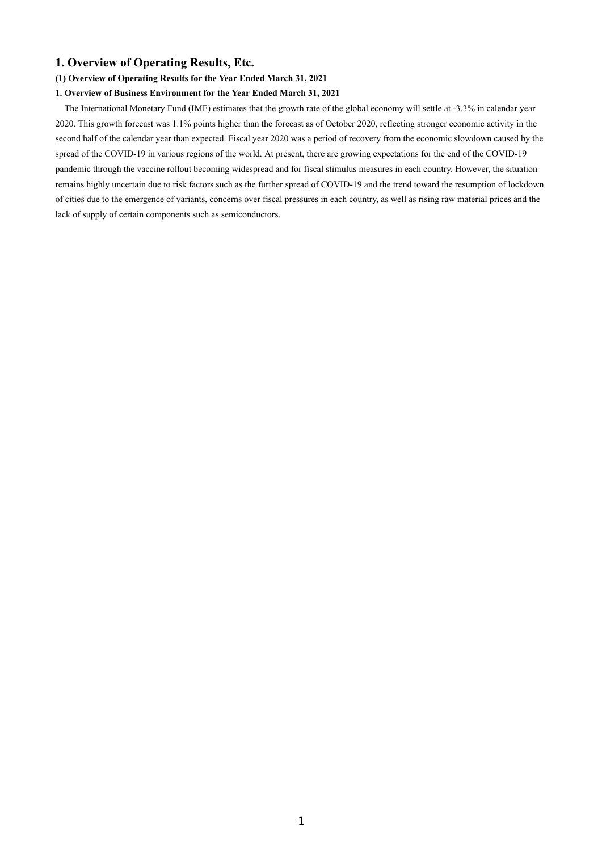## **1. Overview of Operating Results, Etc.**

## **(1) Overview of Operating Results for the Year Ended March 31, 2021**

## **1. Overview of Business Environment for the Year Ended March 31, 2021**

The International Monetary Fund (IMF) estimates that the growth rate of the global economy will settle at -3.3% in calendar year 2020. This growth forecast was 1.1% points higher than the forecast as of October 2020, reflecting stronger economic activity in the second half of the calendar year than expected. Fiscal year 2020 was a period of recovery from the economic slowdown caused by the spread of the COVID-19 in various regions of the world. At present, there are growing expectations for the end of the COVID-19 pandemic through the vaccine rollout becoming widespread and for fiscal stimulus measures in each country. However, the situation remains highly uncertain due to risk factors such as the further spread of COVID-19 and the trend toward the resumption of lockdown of cities due to the emergence of variants, concerns over fiscal pressures in each country, as well as rising raw material prices and the lack of supply of certain components such as semiconductors.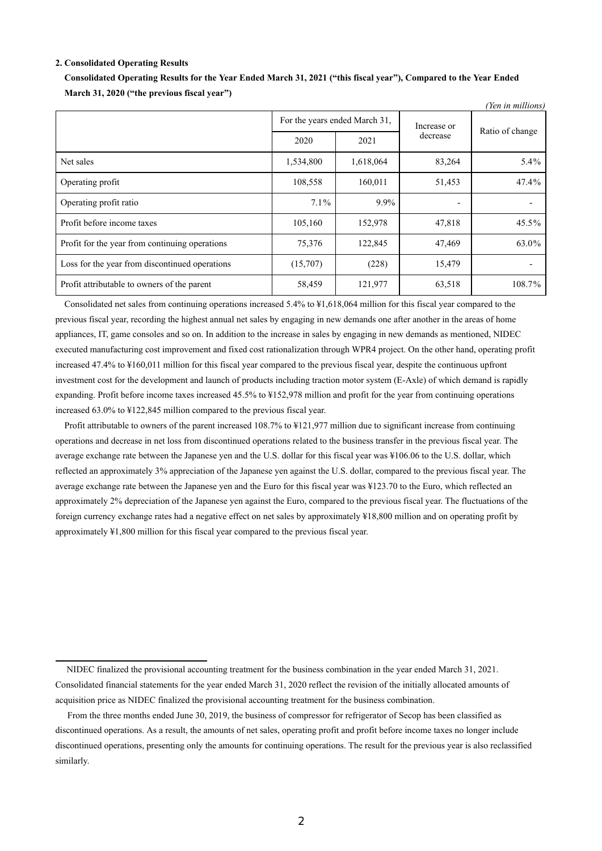#### **2. Consolidated Operating Results**

|                                                |                               |           |             | (Yen in millions) |  |
|------------------------------------------------|-------------------------------|-----------|-------------|-------------------|--|
|                                                | For the years ended March 31, |           | Increase or | Ratio of change   |  |
|                                                | 2020                          | 2021      | decrease    |                   |  |
| Net sales                                      | 1,534,800                     | 1,618,064 | 83,264      | 5.4%              |  |
| Operating profit                               | 108,558                       | 160,011   | 51,453      | 47.4%             |  |
| Operating profit ratio                         | $7.1\%$                       | 9.9%      | -           |                   |  |
| Profit before income taxes                     | 105,160                       | 152,978   | 47,818      | 45.5%             |  |
| Profit for the year from continuing operations | 75,376                        | 122,845   | 47,469      | 63.0%             |  |
| Loss for the year from discontinued operations | (15,707)                      | (228)     | 15,479      |                   |  |
| Profit attributable to owners of the parent    | 58,459                        | 121,977   | 63,518      | 108.7%            |  |

**Consolidated Operating Results for the Year Ended March 31, 2021 ("this fiscal year"), Compared to the Year Ended March 31, 2020 ("the previous fiscal year")**

Consolidated net sales from continuing operations increased 5.4% to ¥1,618,064 million for this fiscal year compared to the previous fiscal year, recording the highest annual net sales by engaging in new demands one after another in the areas of home appliances, IT, game consoles and so on. In addition to the increase in sales by engaging in new demands as mentioned, NIDEC executed manufacturing cost improvement and fixed cost rationalization through WPR4 project. On the other hand, operating profit increased 47.4% to ¥160,011 million for this fiscal year compared to the previous fiscal year, despite the continuous upfront investment cost for the development and launch of products including traction motor system (E-Axle) of which demand is rapidly expanding. Profit before income taxes increased 45.5% to ¥152,978 million and profit for the year from continuing operations increased 63.0% to ¥122,845 million compared to the previous fiscal year.

Profit attributable to owners of the parent increased 108.7% to ¥121,977 million due to significant increase from continuing operations and decrease in net loss from discontinued operations related to the business transfer in the previous fiscal year. The average exchange rate between the Japanese yen and the U.S. dollar for this fiscal year was ¥106.06 to the U.S. dollar, which reflected an approximately 3% appreciation of the Japanese yen against the U.S. dollar, compared to the previous fiscal year. The average exchange rate between the Japanese yen and the Euro for this fiscal year was ¥123.70 to the Euro, which reflected an approximately 2% depreciation of the Japanese yen against the Euro, compared to the previous fiscal year. The fluctuations of the foreign currency exchange rates had a negative effect on net sales by approximately ¥18,800 million and on operating profit by approximately ¥1,800 million for this fiscal year compared to the previous fiscal year.

NIDEC finalized the provisional accounting treatment for the business combination in the year ended March 31, 2021. Consolidated financial statements for the year ended March 31, 2020 reflect the revision of the initially allocated amounts of acquisition price as NIDEC finalized the provisional accounting treatment for the business combination.

From the three months ended June 30, 2019, the business of compressor for refrigerator of Secop has been classified as discontinued operations. As a result, the amounts of net sales, operating profit and profit before income taxes no longer include discontinued operations, presenting only the amounts for continuing operations. The result for the previous year is also reclassified similarly.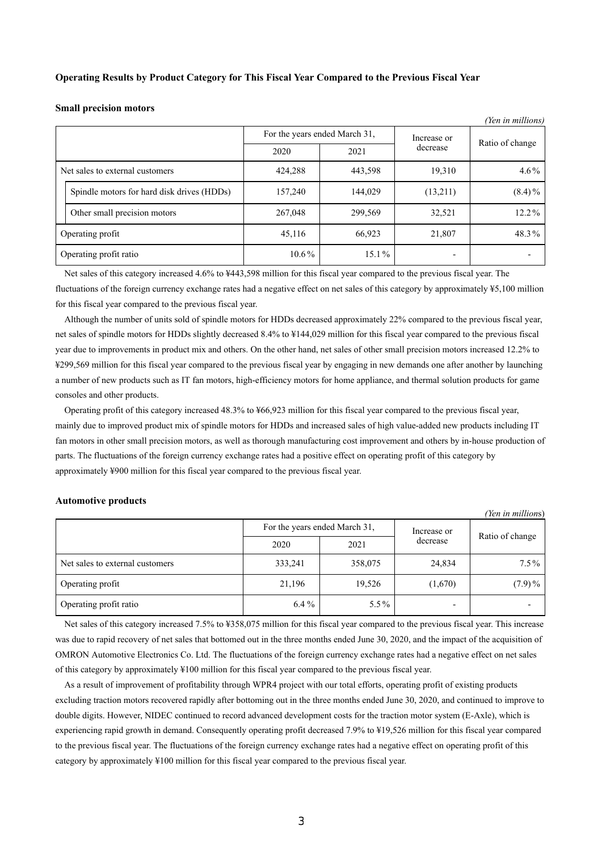#### **Operating Results by Product Category for This Fiscal Year Compared to the Previous Fiscal Year**

#### **Small precision motors**

|                                 |                                            | For the years ended March 31, | Increase or | Ratio of change |           |
|---------------------------------|--------------------------------------------|-------------------------------|-------------|-----------------|-----------|
|                                 |                                            | 2020                          | 2021        | decrease        |           |
| Net sales to external customers |                                            | 424,288                       | 443,598     | 19,310          | $4.6\%$   |
|                                 | Spindle motors for hard disk drives (HDDs) | 157,240                       | 144,029     | (13,211)        | $(8.4)\%$ |
|                                 | Other small precision motors               | 267,048                       | 299,569     | 32,521          | $12.2\%$  |
| Operating profit                |                                            | 45,116                        | 66,923      | 21,807          | 48.3%     |
| Operating profit ratio          |                                            | $10.6\%$                      | $15.1\%$    |                 |           |

 $\alpha$ <sup>*i*</sup> *(III)*  $\alpha$ 

Net sales of this category increased 4.6% to ¥443,598 million for this fiscal year compared to the previous fiscal year. The fluctuations of the foreign currency exchange rates had a negative effect on net sales of this category by approximately ¥5,100 million for this fiscal year compared to the previous fiscal year.

Although the number of units sold of spindle motors for HDDs decreased approximately 22% compared to the previous fiscal year, net sales of spindle motors for HDDs slightly decreased 8.4% to ¥144,029 million for this fiscal year compared to the previous fiscal year due to improvements in product mix and others. On the other hand, net sales of other small precision motors increased 12.2% to ¥299,569 million for this fiscal year compared to the previous fiscal year by engaging in new demands one after another by launching a number of new products such as IT fan motors, high-efficiency motors for home appliance, and thermal solution products for game consoles and other products.

Operating profit of this category increased 48.3% to ¥66,923 million for this fiscal year compared to the previous fiscal year, mainly due to improved product mix of spindle motors for HDDs and increased sales of high value-added new products including IT fan motors in other small precision motors, as well as thorough manufacturing cost improvement and others by in-house production of parts. The fluctuations of the foreign currency exchange rates had a positive effect on operating profit of this category by approximately ¥900 million for this fiscal year compared to the previous fiscal year.

#### **Automotive products**

|                                 |                               |         |             | (Yen in millions) |  |
|---------------------------------|-------------------------------|---------|-------------|-------------------|--|
|                                 | For the years ended March 31, |         | Increase or |                   |  |
|                                 | 2020                          | 2021    | decrease    | Ratio of change   |  |
| Net sales to external customers | 333,241                       | 358,075 | 24,834      | $7.5\%$           |  |
| Operating profit                | 21,196                        | 19,526  | (1,670)     | $(7.9)\%$         |  |
| Operating profit ratio          | $6.4\%$                       | $5.5\%$ |             |                   |  |

Net sales of this category increased 7.5% to ¥358,075 million for this fiscal year compared to the previous fiscal year. This increase was due to rapid recovery of net sales that bottomed out in the three months ended June 30, 2020, and the impact of the acquisition of OMRON Automotive Electronics Co. Ltd. The fluctuations of the foreign currency exchange rates had a negative effect on net sales of this category by approximately ¥100 million for this fiscal year compared to the previous fiscal year.

As a result of improvement of profitability through WPR4 project with our total efforts, operating profit of existing products excluding traction motors recovered rapidly after bottoming out in the three months ended June 30, 2020, and continued to improve to double digits. However, NIDEC continued to record advanced development costs for the traction motor system (E-Axle), which is experiencing rapid growth in demand. Consequently operating profit decreased 7.9% to ¥19,526 million for this fiscal year compared to the previous fiscal year. The fluctuations of the foreign currency exchange rates had a negative effect on operating profit of this category by approximately ¥100 million for this fiscal year compared to the previous fiscal year.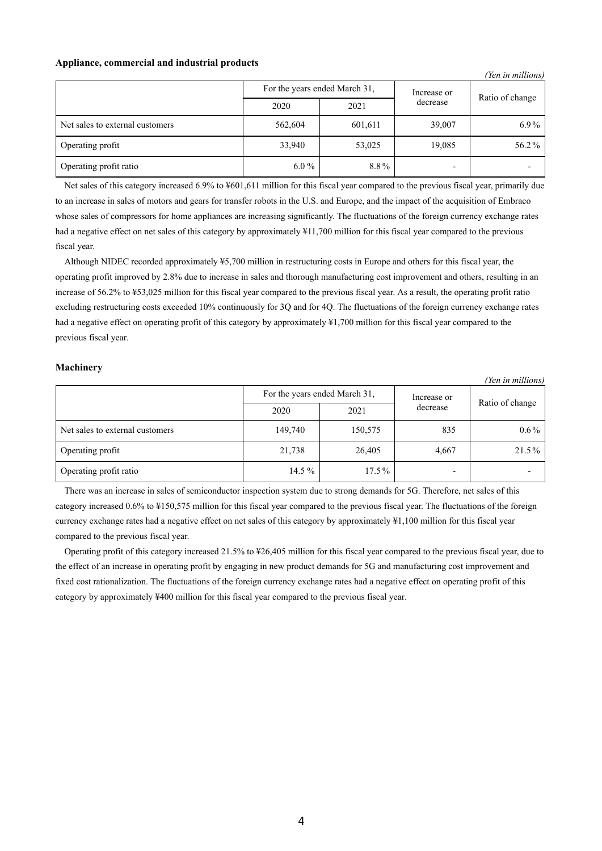## **Appliance, commercial and industrial products**

*(Yen in millions)*

|                                 | For the years ended March 31, |         | Increase or | Ratio of change |  |
|---------------------------------|-------------------------------|---------|-------------|-----------------|--|
|                                 | 2020                          | 2021    | decrease    |                 |  |
| Net sales to external customers | 562,604                       | 601,611 | 39,007      | $6.9\%$         |  |
| Operating profit                | 33,940                        | 53,025  | 19,085      | 56.2%           |  |
| Operating profit ratio          | $6.0\%$                       | 8.8%    |             |                 |  |

Net sales of this category increased 6.9% to ¥601,611 million for this fiscal year compared to the previous fiscal year, primarily due to an increase in sales of motors and gears for transfer robots in the U.S. and Europe, and the impact of the acquisition of Embraco whose sales of compressors for home appliances are increasing significantly. The fluctuations of the foreign currency exchange rates had a negative effect on net sales of this category by approximately ¥11,700 million for this fiscal year compared to the previous fiscal year.

Although NIDEC recorded approximately ¥5,700 million in restructuring costs in Europe and others for this fiscal year, the operating profit improved by 2.8% due to increase in sales and thorough manufacturing cost improvement and others, resulting in an increase of 56.2% to ¥53,025 million for this fiscal year compared to the previous fiscal year. As a result, the operating profit ratio excluding restructuring costs exceeded 10% continuously for 3Q and for 4Q. The fluctuations of the foreign currency exchange rates had a negative effect on operating profit of this category by approximately ¥1,700 million for this fiscal year compared to the previous fiscal year.

#### **Machinery**

*(Yen in millions)* For the years ended March 31, Increase or  $\frac{d}{d}$  decrease Ratio of change 2020 2021 Net sales to external customers 149,740 150,575 835 0.6 % Operating profit 21,738 26,405 4,667 21.5% Operating profit ratio 14.5 % 17.5 %

There was an increase in sales of semiconductor inspection system due to strong demands for 5G. Therefore, net sales of this category increased 0.6% to ¥150,575 million for this fiscal year compared to the previous fiscal year. The fluctuations of the foreign currency exchange rates had a negative effect on net sales of this category by approximately ¥1,100 million for this fiscal year compared to the previous fiscal year.

Operating profit of this category increased 21.5% to ¥26,405 million for this fiscal year compared to the previous fiscal year, due to the effect of an increase in operating profit by engaging in new product demands for 5G and manufacturing cost improvement and fixed cost rationalization. The fluctuations of the foreign currency exchange rates had a negative effect on operating profit of this category by approximately ¥400 million for this fiscal year compared to the previous fiscal year.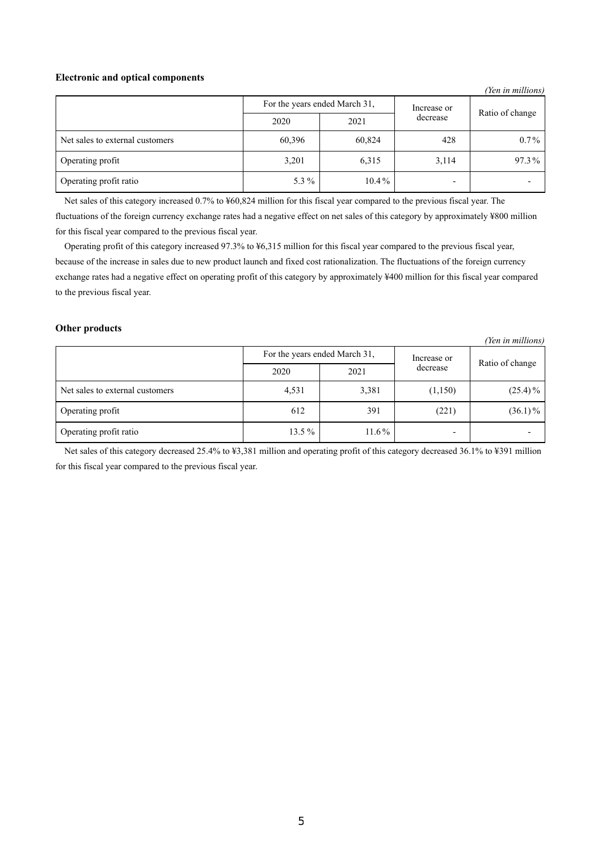## **Electronic and optical components**

|                                 |                               |          |             | (Yen in millions) |
|---------------------------------|-------------------------------|----------|-------------|-------------------|
|                                 | For the years ended March 31, |          | Increase or |                   |
|                                 | 2020                          | 2021     | decrease    | Ratio of change   |
| Net sales to external customers | 60,396                        | 60,824   | 428         | $0.7\%$           |
| Operating profit                | 3,201                         | 6,315    | 3,114       | 97.3%             |
| Operating profit ratio          | 5.3 $%$                       | $10.4\%$ |             |                   |

Net sales of this category increased 0.7% to ¥60,824 million for this fiscal year compared to the previous fiscal year. The fluctuations of the foreign currency exchange rates had a negative effect on net sales of this category by approximately ¥800 million for this fiscal year compared to the previous fiscal year.

Operating profit of this category increased 97.3% to ¥6,315 million for this fiscal year compared to the previous fiscal year, because of the increase in sales due to new product launch and fixed cost rationalization. The fluctuations of the foreign currency exchange rates had a negative effect on operating profit of this category by approximately ¥400 million for this fiscal year compared to the previous fiscal year.

## **Other products**

|                                 |                               |          |             | (Yen in millions) |
|---------------------------------|-------------------------------|----------|-------------|-------------------|
|                                 | For the years ended March 31, |          | Increase or |                   |
|                                 | 2020                          | 2021     | decrease    | Ratio of change   |
| Net sales to external customers | 4,531                         | 3,381    | (1,150)     | $(25.4)\%$        |
| Operating profit                | 612                           | 391      | (221)       | $(36.1)\%$        |
| Operating profit ratio          | $13.5\%$                      | $11.6\%$ | -           |                   |

Net sales of this category decreased 25.4% to ¥3,381 million and operating profit of this category decreased 36.1% to ¥391 million for this fiscal year compared to the previous fiscal year.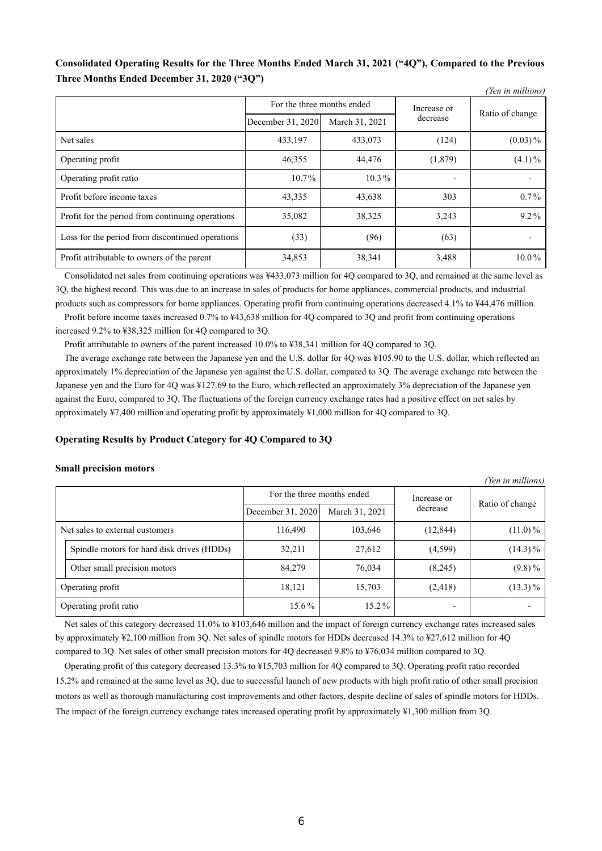## **Consolidated Operating Results for the Three Months Ended March 31, 2021 ("4Q"), Compared to the Previous Three Months Ended December 31, 2020 ("3Q")**

|                                                  |                                           |                |          | (Yen in millions) |
|--------------------------------------------------|-------------------------------------------|----------------|----------|-------------------|
|                                                  | For the three months ended<br>Increase or |                |          |                   |
|                                                  | December 31, 2020                         | March 31, 2021 | decrease | Ratio of change   |
| Net sales                                        | 433,197                                   | 433,073        | (124)    | $(0.03)\%$        |
| Operating profit                                 | 46,355                                    | 44,476         | (1,879)  | $(4.1)\%$         |
| Operating profit ratio                           | 10.7%                                     | $10.3\%$       |          |                   |
| Profit before income taxes                       | 43,335                                    | 43,638         | 303      | $0.7\%$           |
| Profit for the period from continuing operations | 35,082                                    | 38,325         | 3,243    | 9.2%              |
| Loss for the period from discontinued operations | (33)                                      | (96)           | (63)     |                   |
| Profit attributable to owners of the parent      | 34,853                                    | 38,341         | 3,488    | $10.0\%$          |

Consolidated net sales from continuing operations was ¥433,073 million for 4Q compared to 3Q, and remained at the same level as 3Q, the highest record. This was due to an increase in sales of products for home appliances, commercial products, and industrial products such as compressors for home appliances. Operating profit from continuing operations decreased 4.1% to ¥44,476 million.

Profit before income taxes increased 0.7% to ¥43,638 million for 4Q compared to 3Q and profit from continuing operations increased 9.2% to ¥38,325 million for 4Q compared to 3Q.

Profit attributable to owners of the parent increased 10.0% to ¥38,341 million for 4Q compared to 3Q.

The average exchange rate between the Japanese yen and the U.S. dollar for 4Q was ¥105.90 to the U.S. dollar, which reflected an approximately 1% depreciation of the Japanese yen against the U.S. dollar, compared to 3Q. The average exchange rate between the Japanese yen and the Euro for 4Q was ¥127.69 to the Euro, which reflected an approximately 3% depreciation of the Japanese yen against the Euro, compared to 3Q. The fluctuations of the foreign currency exchange rates had a positive effect on net sales by approximately ¥7,400 million and operating profit by approximately ¥1,000 million for 4Q compared to 3Q.

### **Operating Results by Product Category for 4Q Compared to 3Q**

## **Small precision motors**

| (Yen in millions)                          |                            |                |             |                 |
|--------------------------------------------|----------------------------|----------------|-------------|-----------------|
|                                            | For the three months ended |                | Increase or |                 |
|                                            | December 31, 2020          | March 31, 2021 | decrease    | Ratio of change |
| Net sales to external customers            | 116,490                    | 103,646        | (12, 844)   | $(11.0)\%$      |
| Spindle motors for hard disk drives (HDDs) | 32,211                     | 27,612         | (4,599)     | $(14.3)\%$      |
| Other small precision motors               | 84,279                     | 76,034         | (8,245)     | $(9.8)\%$       |
| Operating profit                           | 18,121                     | 15,703         | (2, 418)    | $(13.3)\%$      |
| Operating profit ratio                     | 15.6%                      | 15.2%          |             |                 |

Net sales of this category decreased 11.0% to ¥103,646 million and the impact of foreign currency exchange rates increased sales by approximately ¥2,100 million from 3Q. Net sales of spindle motors for HDDs decreased 14.3% to ¥27,612 million for 4Q compared to 3Q. Net sales of other small precision motors for 4Q decreased 9.8% to ¥76,034 million compared to 3Q.

Operating profit of this category decreased 13.3% to ¥15,703 million for 4Q compared to 3Q. Operating profit ratio recorded 15.2% and remained at the same level as 3Q, due to successful launch of new products with high profit ratio of other small precision motors as well as thorough manufacturing cost improvements and other factors, despite decline of sales of spindle motors for HDDs. The impact of the foreign currency exchange rates increased operating profit by approximately ¥1,300 million from 3Q.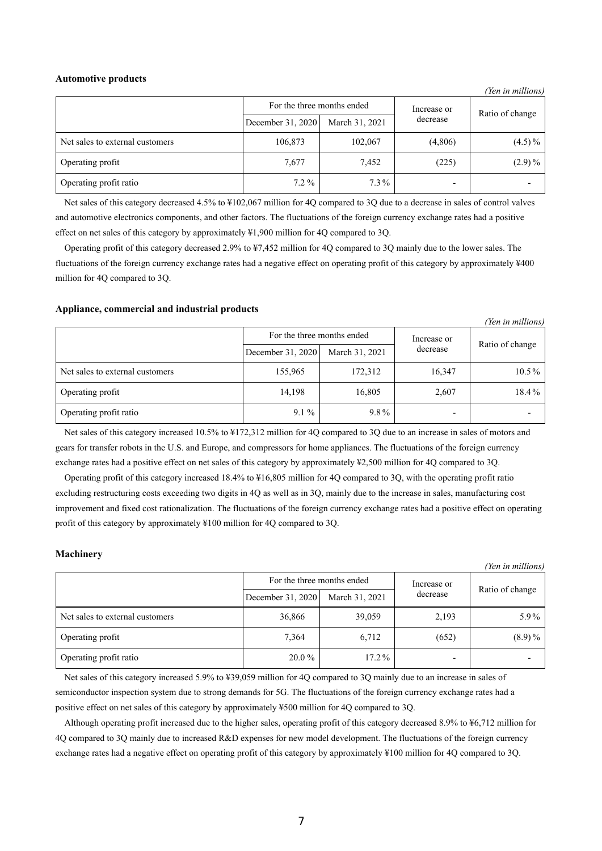#### **Automotive products**

|                                 | For the three months ended |                | Increase or | Ratio of change |
|---------------------------------|----------------------------|----------------|-------------|-----------------|
|                                 | December 31, 2020          | March 31, 2021 | decrease    |                 |
| Net sales to external customers | 106,873                    | 102,067        | (4,806)     | $(4.5)\%$       |
| Operating profit                | 7,677                      | 7,452          | (225)       | $(2.9)\%$       |
| Operating profit ratio          | $7.2\%$                    | $7.3\%$        | -           |                 |

*(Yen in millions)*

*(Yen in millions)*

Net sales of this category decreased 4.5% to ¥102,067 million for 4Q compared to 3Q due to a decrease in sales of control valves and automotive electronics components, and other factors. The fluctuations of the foreign currency exchange rates had a positive effect on net sales of this category by approximately ¥1,900 million for 4Q compared to 3Q.

Operating profit of this category decreased 2.9% to ¥7,452 million for 4Q compared to 3Q mainly due to the lower sales. The fluctuations of the foreign currency exchange rates had a negative effect on operating profit of this category by approximately ¥400 million for 4Q compared to 3Q.

#### **Appliance, commercial and industrial products**

|                                 | For the three months ended |                | Increase or |                 |
|---------------------------------|----------------------------|----------------|-------------|-----------------|
|                                 | December 31, 2020          | March 31, 2021 | decrease    | Ratio of change |
| Net sales to external customers | 155,965                    | 172,312        | 16,347      | $10.5\%$        |
| Operating profit                | 14,198                     | 16,805         | 2,607       | 18.4%           |
| Operating profit ratio          | $9.1\%$                    | $9.8\%$        |             |                 |

Net sales of this category increased 10.5% to ¥172,312 million for 4Q compared to 3Q due to an increase in sales of motors and gears for transfer robots in the U.S. and Europe, and compressors for home appliances. The fluctuations of the foreign currency exchange rates had a positive effect on net sales of this category by approximately ¥2,500 million for 4Q compared to 3Q.

Operating profit of this category increased 18.4% to ¥16,805 million for 4Q compared to 3Q, with the operating profit ratio excluding restructuring costs exceeding two digits in 4Q as well as in 3Q, mainly due to the increase in sales, manufacturing cost improvement and fixed cost rationalization. The fluctuations of the foreign currency exchange rates had a positive effect on operating profit of this category by approximately ¥100 million for 4Q compared to 3Q.

#### **Machinery**

|                                 |                            |                |             | (Yen in millions) |
|---------------------------------|----------------------------|----------------|-------------|-------------------|
|                                 | For the three months ended |                | Increase or |                   |
|                                 | December 31, 2020          | March 31, 2021 | decrease    | Ratio of change   |
| Net sales to external customers | 36,866                     | 39,059         | 2,193       | $5.9\%$           |
| Operating profit                | 7,364                      | 6,712          | (652)       | $(8.9)\%$         |
| Operating profit ratio          | 20.0 %                     | $17.2\%$       |             |                   |

Net sales of this category increased 5.9% to ¥39,059 million for 4Q compared to 3Q mainly due to an increase in sales of semiconductor inspection system due to strong demands for 5G. The fluctuations of the foreign currency exchange rates had a positive effect on net sales of this category by approximately ¥500 million for 4Q compared to 3Q.

Although operating profit increased due to the higher sales, operating profit of this category decreased 8.9% to ¥6,712 million for 4Q compared to 3Q mainly due to increased R&D expenses for new model development. The fluctuations of the foreign currency exchange rates had a negative effect on operating profit of this category by approximately ¥100 million for 4Q compared to 3Q.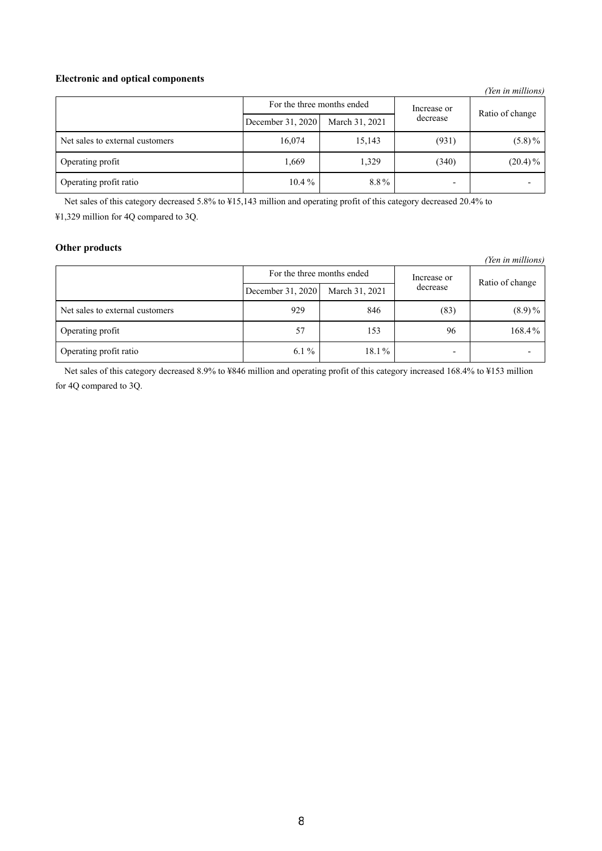## **Electronic and optical components**

|                                 |                            |                |             | (Yen in millions) |
|---------------------------------|----------------------------|----------------|-------------|-------------------|
|                                 | For the three months ended |                | Increase or |                   |
|                                 | December 31, 2020          | March 31, 2021 | decrease    | Ratio of change   |
| Net sales to external customers | 16,074                     | 15,143         | (931)       | $(5.8)\%$         |
| Operating profit                | 1,669                      | 1,329          | (340)       | $(20.4)\%$        |
| Operating profit ratio          | $10.4\%$                   | 8.8%           |             |                   |

Net sales of this category decreased 5.8% to ¥15,143 million and operating profit of this category decreased 20.4% to ¥1,329 million for 4Q compared to 3Q.

## **Other products**

*(Yen in millions)*

|                                 | For the three months ended |                | Increase or |                 |
|---------------------------------|----------------------------|----------------|-------------|-----------------|
|                                 | December 31, 2020          | March 31, 2021 | decrease    | Ratio of change |
| Net sales to external customers | 929                        | 846            | (83)        | $(8.9)\%$       |
| Operating profit                | 57                         | 153            | 96          | 168.4%          |
| Operating profit ratio          | $6.1\%$                    | $18.1\%$       |             |                 |

Net sales of this category decreased 8.9% to ¥846 million and operating profit of this category increased 168.4% to ¥153 million for 4Q compared to 3Q.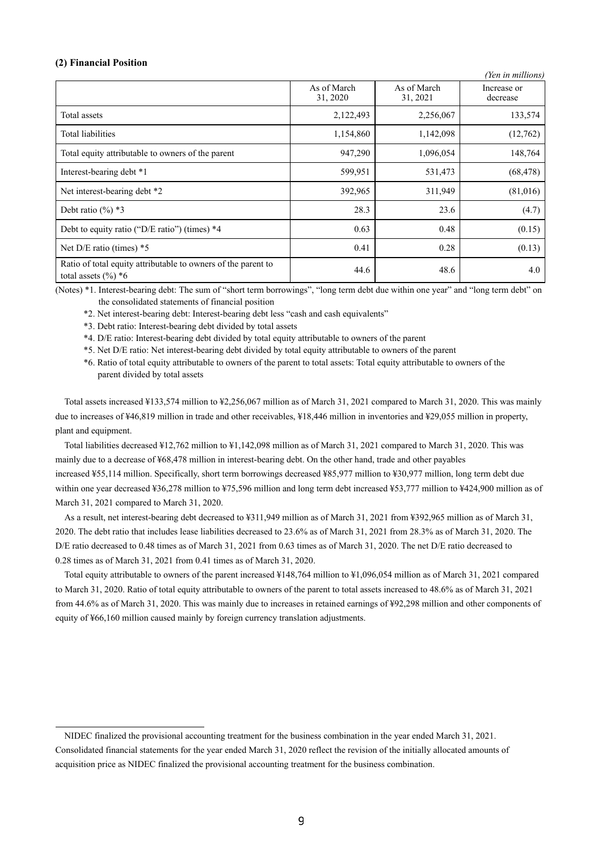## **(2) Financial Position**

|                                                                                         |                         |                         | (Yen in millions)       |
|-----------------------------------------------------------------------------------------|-------------------------|-------------------------|-------------------------|
|                                                                                         | As of March<br>31, 2020 | As of March<br>31, 2021 | Increase or<br>decrease |
| Total assets                                                                            | 2,122,493               | 2,256,067               | 133,574                 |
| Total liabilities                                                                       | 1,154,860               | 1,142,098               | (12,762)                |
| Total equity attributable to owners of the parent                                       | 947,290                 | 1,096,054               | 148,764                 |
| Interest-bearing debt *1                                                                | 599,951                 | 531,473                 | (68, 478)               |
| Net interest-bearing debt *2                                                            | 392,965                 | 311,949                 | (81,016)                |
| Debt ratio $(\%)$ *3                                                                    | 28.3                    | 23.6                    | (4.7)                   |
| Debt to equity ratio ("D/E ratio") (times) *4                                           | 0.63                    | 0.48                    | (0.15)                  |
| Net $D/E$ ratio (times) $*5$                                                            | 0.41                    | 0.28                    | (0.13)                  |
| Ratio of total equity attributable to owners of the parent to<br>total assets $(\%)^*6$ | 44.6                    | 48.6                    | 4.0                     |

(Notes) \*1. Interest-bearing debt: The sum of "short term borrowings", "long term debt due within one year" and "long term debt" on the consolidated statements of financial position

\*2. Net interest-bearing debt: Interest-bearing debt less "cash and cash equivalents"

\*3. Debt ratio: Interest-bearing debt divided by total assets

\*4. D/E ratio: Interest-bearing debt divided by total equity attributable to owners of the parent

\*5. Net D/E ratio: Net interest-bearing debt divided by total equity attributable to owners of the parent

\*6. Ratio of total equity attributable to owners of the parent to total assets: Total equity attributable to owners of the parent divided by total assets

Total assets increased ¥133,574 million to ¥2,256,067 million as of March 31, 2021 compared to March 31, 2020. This was mainly due to increases of ¥46,819 million in trade and other receivables, ¥18,446 million in inventories and ¥29,055 million in property, plant and equipment.

Total liabilities decreased ¥12,762 million to ¥1,142,098 million as of March 31, 2021 compared to March 31, 2020. This was mainly due to a decrease of ¥68,478 million in interest-bearing debt. On the other hand, trade and other payables increased ¥55,114 million. Specifically, short term borrowings decreased ¥85,977 million to ¥30,977 million, long term debt due within one year decreased ¥36,278 million to ¥75,596 million and long term debt increased ¥53,777 million to ¥424,900 million as of March 31, 2021 compared to March 31, 2020.

As a result, net interest-bearing debt decreased to ¥311,949 million as of March 31, 2021 from ¥392,965 million as of March 31, 2020. The debt ratio that includes lease liabilities decreased to 23.6% as of March 31, 2021 from 28.3% as of March 31, 2020. The D/E ratio decreased to 0.48 times as of March 31, 2021 from 0.63 times as of March 31, 2020. The net D/E ratio decreased to 0.28 times as of March 31, 2021 from 0.41 times as of March 31, 2020.

Total equity attributable to owners of the parent increased ¥148,764 million to ¥1,096,054 million as of March 31, 2021 compared to March 31, 2020. Ratio of total equity attributable to owners of the parent to total assets increased to 48.6% as of March 31, 2021 from 44.6% as of March 31, 2020. This was mainly due to increases in retained earnings of ¥92,298 million and other components of equity of ¥66,160 million caused mainly by foreign currency translation adjustments.

NIDEC finalized the provisional accounting treatment for the business combination in the year ended March 31, 2021. Consolidated financial statements for the year ended March 31, 2020 reflect the revision of the initially allocated amounts of acquisition price as NIDEC finalized the provisional accounting treatment for the business combination.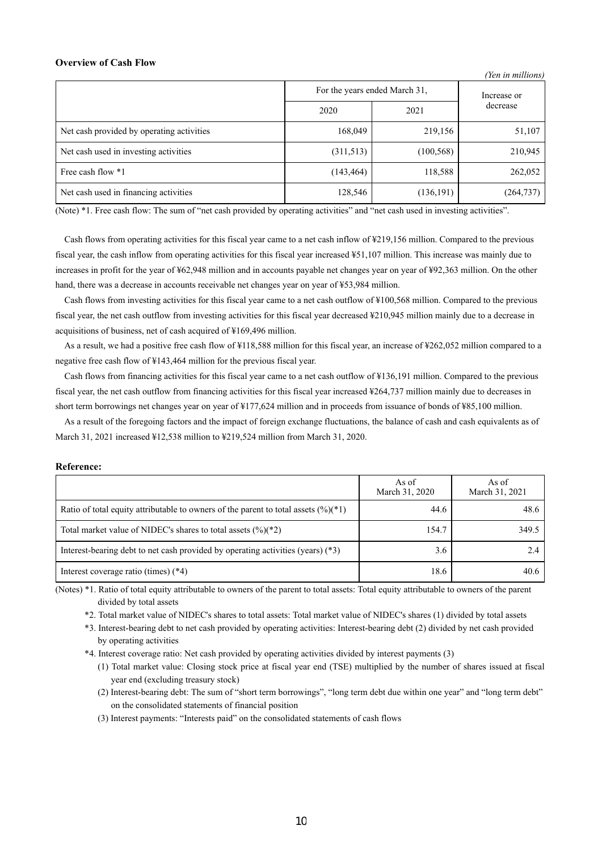## **Overview of Cash Flow**

|                                           |                               |             | (Ten in muttons) |
|-------------------------------------------|-------------------------------|-------------|------------------|
|                                           | For the years ended March 31, | Increase or |                  |
|                                           | 2020                          | 2021        | decrease         |
| Net cash provided by operating activities | 168,049                       | 219,156     | 51,107           |
| Net cash used in investing activities     | (311,513)                     | (100, 568)  | 210,945          |
| Free cash flow *1                         | (143, 464)                    | 118,588     | 262,052          |
| Net cash used in financing activities     | 128,546                       | (136, 191)  | (264, 737)       |

*(Yen in millions)*

(Note) \*1. Free cash flow: The sum of "net cash provided by operating activities" and "net cash used in investing activities".

Cash flows from operating activities for this fiscal year came to a net cash inflow of ¥219,156 million. Compared to the previous fiscal year, the cash inflow from operating activities for this fiscal year increased ¥51,107 million. This increase was mainly due to increases in profit for the year of ¥62,948 million and in accounts payable net changes year on year of ¥92,363 million. On the other hand, there was a decrease in accounts receivable net changes year on year of ¥53,984 million.

Cash flows from investing activities for this fiscal year came to a net cash outflow of ¥100,568 million. Compared to the previous fiscal year, the net cash outflow from investing activities for this fiscal year decreased ¥210,945 million mainly due to a decrease in acquisitions of business, net of cash acquired of ¥169,496 million.

As a result, we had a positive free cash flow of ¥118,588 million for this fiscal year, an increase of ¥262,052 million compared to a negative free cash flow of ¥143,464 million for the previous fiscal year.

Cash flows from financing activities for this fiscal year came to a net cash outflow of ¥136,191 million. Compared to the previous fiscal year, the net cash outflow from financing activities for this fiscal year increased ¥264,737 million mainly due to decreases in short term borrowings net changes year on year of ¥177,624 million and in proceeds from issuance of bonds of ¥85,100 million.

As a result of the foregoing factors and the impact of foreign exchange fluctuations, the balance of cash and cash equivalents as of March 31, 2021 increased ¥12,538 million to ¥219,524 million from March 31, 2020.

#### **Reference:**

|                                                                                       | As of<br>March 31, 2020 | As of<br>March 31, 2021 |
|---------------------------------------------------------------------------------------|-------------------------|-------------------------|
| Ratio of total equity attributable to owners of the parent to total assets $(\%)(*1)$ | 44.6                    | 48.6                    |
| Total market value of NIDEC's shares to total assets $(\frac{6}{6})(\frac{1}{2})$     | 154.7                   | 349.5                   |
| Interest-bearing debt to net cash provided by operating activities (years) $(*3)$     | 3.6                     |                         |
| Interest coverage ratio (times) $(*4)$                                                | 18.6                    | 40.6                    |

(Notes) \*1. Ratio of total equity attributable to owners of the parent to total assets: Total equity attributable to owners of the parent divided by total assets

\*2. Total market value of NIDEC's shares to total assets: Total market value of NIDEC's shares (1) divided by total assets

\*3. Interest-bearing debt to net cash provided by operating activities: Interest-bearing debt (2) divided by net cash provided by operating activities

\*4. Interest coverage ratio: Net cash provided by operating activities divided by interest payments (3)

- (1) Total market value: Closing stock price at fiscal year end (TSE) multiplied by the number of shares issued at fiscal year end (excluding treasury stock)
- (2) Interest-bearing debt: The sum of "short term borrowings", "long term debt due within one year" and "long term debt" on the consolidated statements of financial position
- (3) Interest payments: "Interests paid" on the consolidated statements of cash flows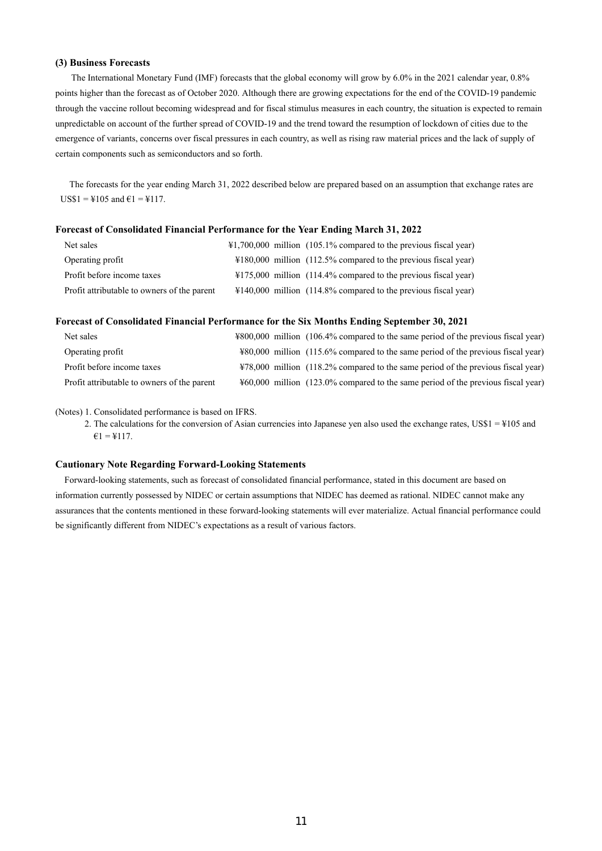## **(3) Business Forecasts**

The International Monetary Fund (IMF) forecasts that the global economy will grow by 6.0% in the 2021 calendar year, 0.8% points higher than the forecast as of October 2020. Although there are growing expectations for the end of the COVID-19 pandemic through the vaccine rollout becoming widespread and for fiscal stimulus measures in each country, the situation is expected to remain unpredictable on account of the further spread of COVID-19 and the trend toward the resumption of lockdown of cities due to the emergence of variants, concerns over fiscal pressures in each country, as well as rising raw material prices and the lack of supply of certain components such as semiconductors and so forth.

The forecasts for the year ending March 31, 2022 described below are prepared based on an assumption that exchange rates are  $USS1 = 4105$  and  $61 = 4117$ .

#### **Forecast of Consolidated Financial Performance for the Year Ending March 31, 2022**

| Net sales                                   | $\text{\#1,700,000}$ million (105.1% compared to the previous fiscal year) |
|---------------------------------------------|----------------------------------------------------------------------------|
| Operating profit                            | $\text{\#180,000}$ million (112.5% compared to the previous fiscal year)   |
| Profit before income taxes                  | $\text{\#175,000}$ million (114.4% compared to the previous fiscal year)   |
| Profit attributable to owners of the parent | $\text{\#140,000}$ million (114.8% compared to the previous fiscal year)   |

#### **Forecast of Consolidated Financial Performance for the Six Months Ending September 30, 2021**

| Net sales                                   | ¥800,000 million (106.4% compared to the same period of the previous fiscal year) |
|---------------------------------------------|-----------------------------------------------------------------------------------|
| Operating profit                            | ¥80,000 million (115.6% compared to the same period of the previous fiscal year)  |
| Profit before income taxes                  | ¥78,000 million (118.2% compared to the same period of the previous fiscal year)  |
| Profit attributable to owners of the parent | ¥60,000 million (123.0% compared to the same period of the previous fiscal year)  |

(Notes) 1. Consolidated performance is based on IFRS.

2. The calculations for the conversion of Asian currencies into Japanese yen also used the exchange rates,  $USS1 = 4105$  and  $€1 = ¥117.$ 

#### **Cautionary Note Regarding Forward-Looking Statements**

Forward-looking statements, such as forecast of consolidated financial performance, stated in this document are based on information currently possessed by NIDEC or certain assumptions that NIDEC has deemed as rational. NIDEC cannot make any assurances that the contents mentioned in these forward-looking statements will ever materialize. Actual financial performance could be significantly different from NIDEC's expectations as a result of various factors.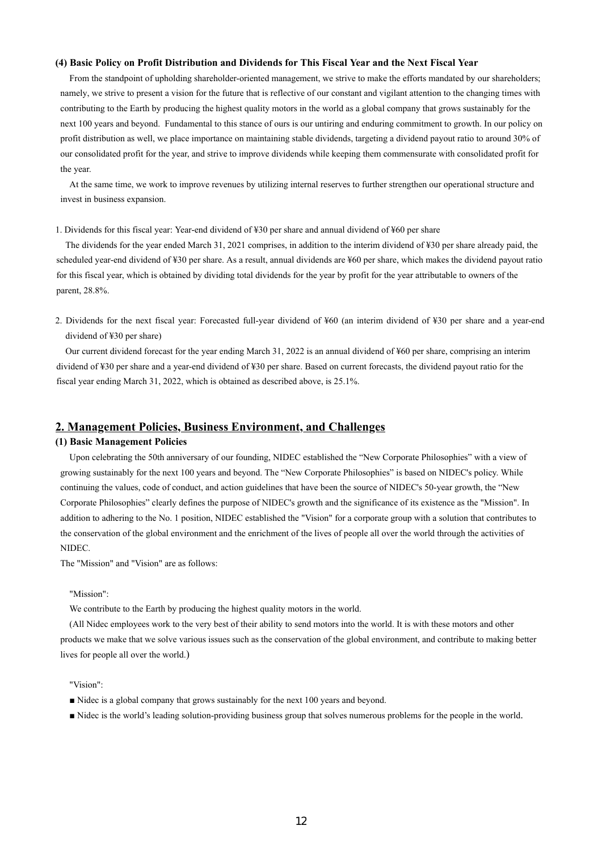#### **(4) Basic Policy on Profit Distribution and Dividends for This Fiscal Year and the Next Fiscal Year**

From the standpoint of upholding shareholder-oriented management, we strive to make the efforts mandated by our shareholders; namely, we strive to present a vision for the future that is reflective of our constant and vigilant attention to the changing times with contributing to the Earth by producing the highest quality motors in the world as a global company that grows sustainably for the next 100 years and beyond. Fundamental to this stance of ours is our untiring and enduring commitment to growth. In our policy on profit distribution as well, we place importance on maintaining stable dividends, targeting a dividend payout ratio to around 30% of our consolidated profit for the year, and strive to improve dividends while keeping them commensurate with consolidated profit for the year.

At the same time, we work to improve revenues by utilizing internal reserves to further strengthen our operational structure and invest in business expansion.

#### 1. Dividends for this fiscal year: Year-end dividend of ¥30 per share and annual dividend of ¥60 per share

The dividends for the year ended March 31, 2021 comprises, in addition to the interim dividend of ¥30 per share already paid, the scheduled year-end dividend of ¥30 per share. As a result, annual dividends are ¥60 per share, which makes the dividend payout ratio for this fiscal year, which is obtained by dividing total dividends for the year by profit for the year attributable to owners of the parent, 28.8%.

2. Dividends for the next fiscal year: Forecasted full-year dividend of ¥60 (an interim dividend of ¥30 per share and a year-end dividend of ¥30 per share)

Our current dividend forecast for the year ending March 31, 2022 is an annual dividend of ¥60 per share, comprising an interim dividend of ¥30 per share and a year-end dividend of ¥30 per share. Based on current forecasts, the dividend payout ratio for the fiscal year ending March 31, 2022, which is obtained as described above, is 25.1%.

## **2. Management Policies, Business Environment, and Challenges**

## **(1) Basic Management Policies**

Upon celebrating the 50th anniversary of our founding, NIDEC established the "New Corporate Philosophies" with a view of growing sustainably for the next 100 years and beyond. The "New Corporate Philosophies" is based on NIDEC's policy. While continuing the values, code of conduct, and action guidelines that have been the source of NIDEC's 50-year growth, the "New Corporate Philosophies" clearly defines the purpose of NIDEC's growth and the significance of its existence as the "Mission". In addition to adhering to the No. 1 position, NIDEC established the "Vision" for a corporate group with a solution that contributes to the conservation of the global environment and the enrichment of the lives of people all over the world through the activities of NIDEC.

The "Mission" and "Vision" are as follows:

#### "Mission":

We contribute to the Earth by producing the highest quality motors in the world.

(All Nidec employees work to the very best of their ability to send motors into the world. It is with these motors and other products we make that we solve various issues such as the conservation of the global environment, and contribute to making better lives for people all over the world.)

#### "Vision":

- Nidec is a global company that grows sustainably for the next 100 years and beyond.
- Nidec is the world's leading solution-providing business group that solves numerous problems for the people in the world.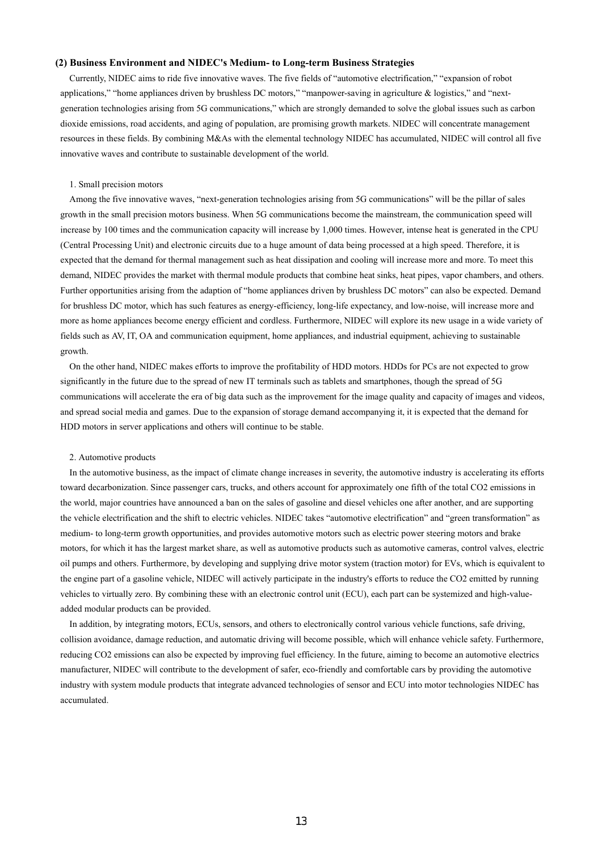#### **(2) Business Environment and NIDEC's Medium- to Long-term Business Strategies**

Currently, NIDEC aims to ride five innovative waves. The five fields of "automotive electrification," "expansion of robot applications," "home appliances driven by brushless DC motors," "manpower-saving in agriculture & logistics," and "nextgeneration technologies arising from 5G communications," which are strongly demanded to solve the global issues such as carbon dioxide emissions, road accidents, and aging of population, are promising growth markets. NIDEC will concentrate management resources in these fields. By combining M&As with the elemental technology NIDEC has accumulated, NIDEC will control all five innovative waves and contribute to sustainable development of the world.

#### 1. Small precision motors

Among the five innovative waves, "next-generation technologies arising from 5G communications" will be the pillar of sales growth in the small precision motors business. When 5G communications become the mainstream, the communication speed will increase by 100 times and the communication capacity will increase by 1,000 times. However, intense heat is generated in the CPU (Central Processing Unit) and electronic circuits due to a huge amount of data being processed at a high speed. Therefore, it is expected that the demand for thermal management such as heat dissipation and cooling will increase more and more. To meet this demand, NIDEC provides the market with thermal module products that combine heat sinks, heat pipes, vapor chambers, and others. Further opportunities arising from the adaption of "home appliances driven by brushless DC motors" can also be expected. Demand for brushless DC motor, which has such features as energy-efficiency, long-life expectancy, and low-noise, will increase more and more as home appliances become energy efficient and cordless. Furthermore, NIDEC will explore its new usage in a wide variety of fields such as AV, IT, OA and communication equipment, home appliances, and industrial equipment, achieving to sustainable growth.

On the other hand, NIDEC makes efforts to improve the profitability of HDD motors. HDDs for PCs are not expected to grow significantly in the future due to the spread of new IT terminals such as tablets and smartphones, though the spread of 5G communications will accelerate the era of big data such as the improvement for the image quality and capacity of images and videos, and spread social media and games. Due to the expansion of storage demand accompanying it, it is expected that the demand for HDD motors in server applications and others will continue to be stable.

#### 2. Automotive products

In the automotive business, as the impact of climate change increases in severity, the automotive industry is accelerating its efforts toward decarbonization. Since passenger cars, trucks, and others account for approximately one fifth of the total CO2 emissions in the world, major countries have announced a ban on the sales of gasoline and diesel vehicles one after another, and are supporting the vehicle electrification and the shift to electric vehicles. NIDEC takes "automotive electrification" and "green transformation" as medium- to long-term growth opportunities, and provides automotive motors such as electric power steering motors and brake motors, for which it has the largest market share, as well as automotive products such as automotive cameras, control valves, electric oil pumps and others. Furthermore, by developing and supplying drive motor system (traction motor) for EVs, which is equivalent to the engine part of a gasoline vehicle, NIDEC will actively participate in the industry's efforts to reduce the CO2 emitted by running vehicles to virtually zero. By combining these with an electronic control unit (ECU), each part can be systemized and high-valueadded modular products can be provided.

In addition, by integrating motors, ECUs, sensors, and others to electronically control various vehicle functions, safe driving, collision avoidance, damage reduction, and automatic driving will become possible, which will enhance vehicle safety. Furthermore, reducing CO2 emissions can also be expected by improving fuel efficiency. In the future, aiming to become an automotive electrics manufacturer, NIDEC will contribute to the development of safer, eco-friendly and comfortable cars by providing the automotive industry with system module products that integrate advanced technologies of sensor and ECU into motor technologies NIDEC has accumulated.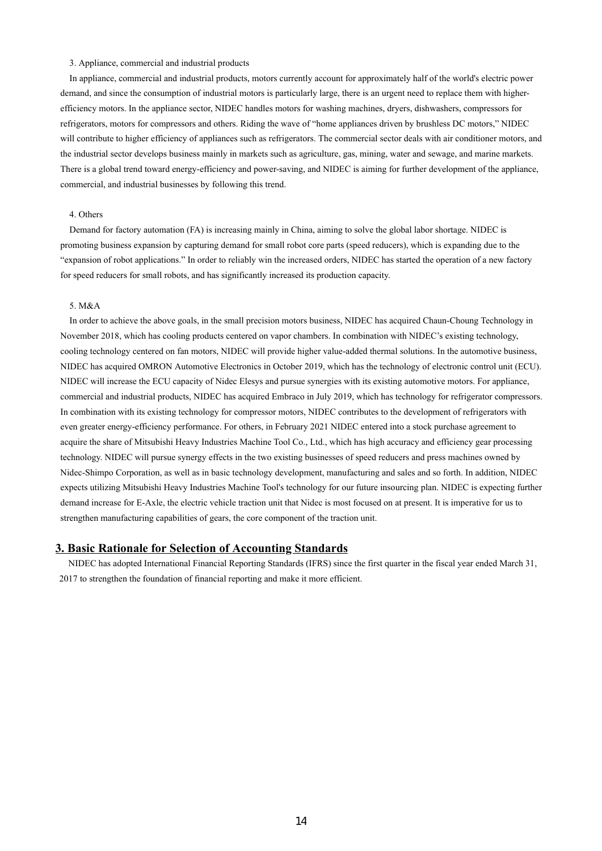#### 3. Appliance, commercial and industrial products

In appliance, commercial and industrial products, motors currently account for approximately half of the world's electric power demand, and since the consumption of industrial motors is particularly large, there is an urgent need to replace them with higherefficiency motors. In the appliance sector, NIDEC handles motors for washing machines, dryers, dishwashers, compressors for refrigerators, motors for compressors and others. Riding the wave of "home appliances driven by brushless DC motors," NIDEC will contribute to higher efficiency of appliances such as refrigerators. The commercial sector deals with air conditioner motors, and the industrial sector develops business mainly in markets such as agriculture, gas, mining, water and sewage, and marine markets. There is a global trend toward energy-efficiency and power-saving, and NIDEC is aiming for further development of the appliance, commercial, and industrial businesses by following this trend.

## 4. Others

Demand for factory automation (FA) is increasing mainly in China, aiming to solve the global labor shortage. NIDEC is promoting business expansion by capturing demand for small robot core parts (speed reducers), which is expanding due to the "expansion of robot applications." In order to reliably win the increased orders, NIDEC has started the operation of a new factory for speed reducers for small robots, and has significantly increased its production capacity.

#### 5. M&A

In order to achieve the above goals, in the small precision motors business, NIDEC has acquired Chaun-Choung Technology in November 2018, which has cooling products centered on vapor chambers. In combination with NIDEC's existing technology, cooling technology centered on fan motors, NIDEC will provide higher value-added thermal solutions. In the automotive business, NIDEC has acquired OMRON Automotive Electronics in October 2019, which has the technology of electronic control unit (ECU). NIDEC will increase the ECU capacity of Nidec Elesys and pursue synergies with its existing automotive motors. For appliance, commercial and industrial products, NIDEC has acquired Embraco in July 2019, which has technology for refrigerator compressors. In combination with its existing technology for compressor motors, NIDEC contributes to the development of refrigerators with even greater energy-efficiency performance. For others, in February 2021 NIDEC entered into a stock purchase agreement to acquire the share of Mitsubishi Heavy Industries Machine Tool Co., Ltd., which has high accuracy and efficiency gear processing technology. NIDEC will pursue synergy effects in the two existing businesses of speed reducers and press machines owned by Nidec-Shimpo Corporation, as well as in basic technology development, manufacturing and sales and so forth. In addition, NIDEC expects utilizing Mitsubishi Heavy Industries Machine Tool's technology for our future insourcing plan. NIDEC is expecting further demand increase for E-Axle, the electric vehicle traction unit that Nidec is most focused on at present. It is imperative for us to strengthen manufacturing capabilities of gears, the core component of the traction unit.

## **3. Basic Rationale for Selection of Accounting Standards**

NIDEC has adopted International Financial Reporting Standards (IFRS) since the first quarter in the fiscal year ended March 31, 2017 to strengthen the foundation of financial reporting and make it more efficient.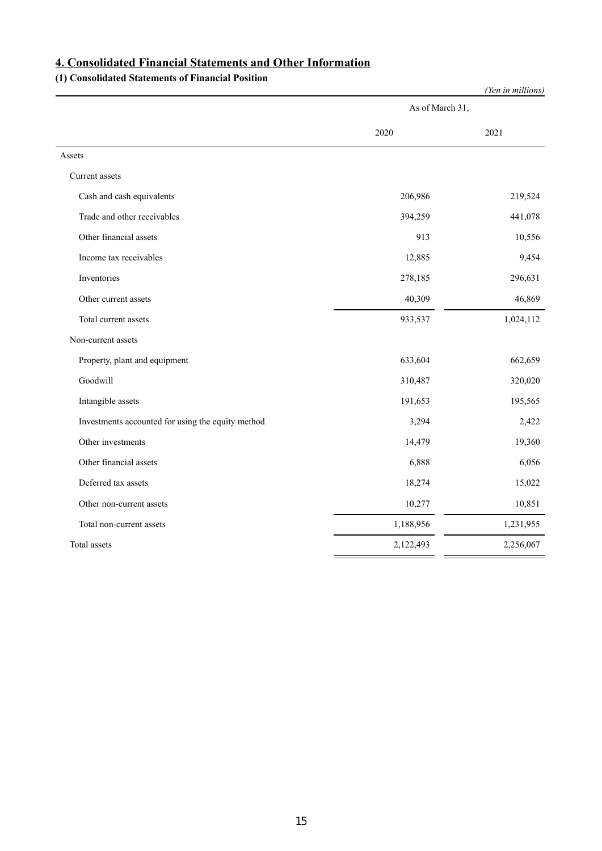# **4. Consolidated Financial Statements and Other Information**

## **(1) Consolidated Statements of Financial Position**

| As of March 31,<br>2020<br>2021<br>Assets<br>Current assets<br>Cash and cash equivalents<br>206,986<br>219,524<br>Trade and other receivables<br>441,078<br>394,259<br>Other financial assets<br>913<br>10,556<br>9,454<br>Income tax receivables<br>12,885<br>Inventories<br>278,185<br>296,631<br>46,869<br>Other current assets<br>40,309<br>933,537<br>1,024,112<br>Total current assets<br>Non-current assets<br>633,604<br>662,659<br>Property, plant and equipment<br>Goodwill<br>320,020<br>310,487<br>191,653<br>195,565<br>Intangible assets<br>Investments accounted for using the equity method<br>3,294<br>2,422<br>Other investments<br>14,479<br>19,360<br>Other financial assets<br>6,056<br>6,888<br>Deferred tax assets<br>18,274<br>15,022<br>10,851<br>10,277<br>Other non-current assets<br>1,231,955<br>1,188,956<br>Total non-current assets<br>Total assets<br>2,122,493<br>2,256,067 |  | (Yen in millions) |
|---------------------------------------------------------------------------------------------------------------------------------------------------------------------------------------------------------------------------------------------------------------------------------------------------------------------------------------------------------------------------------------------------------------------------------------------------------------------------------------------------------------------------------------------------------------------------------------------------------------------------------------------------------------------------------------------------------------------------------------------------------------------------------------------------------------------------------------------------------------------------------------------------------------|--|-------------------|
|                                                                                                                                                                                                                                                                                                                                                                                                                                                                                                                                                                                                                                                                                                                                                                                                                                                                                                               |  |                   |
|                                                                                                                                                                                                                                                                                                                                                                                                                                                                                                                                                                                                                                                                                                                                                                                                                                                                                                               |  |                   |
|                                                                                                                                                                                                                                                                                                                                                                                                                                                                                                                                                                                                                                                                                                                                                                                                                                                                                                               |  |                   |
|                                                                                                                                                                                                                                                                                                                                                                                                                                                                                                                                                                                                                                                                                                                                                                                                                                                                                                               |  |                   |
|                                                                                                                                                                                                                                                                                                                                                                                                                                                                                                                                                                                                                                                                                                                                                                                                                                                                                                               |  |                   |
|                                                                                                                                                                                                                                                                                                                                                                                                                                                                                                                                                                                                                                                                                                                                                                                                                                                                                                               |  |                   |
|                                                                                                                                                                                                                                                                                                                                                                                                                                                                                                                                                                                                                                                                                                                                                                                                                                                                                                               |  |                   |
|                                                                                                                                                                                                                                                                                                                                                                                                                                                                                                                                                                                                                                                                                                                                                                                                                                                                                                               |  |                   |
|                                                                                                                                                                                                                                                                                                                                                                                                                                                                                                                                                                                                                                                                                                                                                                                                                                                                                                               |  |                   |
|                                                                                                                                                                                                                                                                                                                                                                                                                                                                                                                                                                                                                                                                                                                                                                                                                                                                                                               |  |                   |
|                                                                                                                                                                                                                                                                                                                                                                                                                                                                                                                                                                                                                                                                                                                                                                                                                                                                                                               |  |                   |
|                                                                                                                                                                                                                                                                                                                                                                                                                                                                                                                                                                                                                                                                                                                                                                                                                                                                                                               |  |                   |
|                                                                                                                                                                                                                                                                                                                                                                                                                                                                                                                                                                                                                                                                                                                                                                                                                                                                                                               |  |                   |
|                                                                                                                                                                                                                                                                                                                                                                                                                                                                                                                                                                                                                                                                                                                                                                                                                                                                                                               |  |                   |
|                                                                                                                                                                                                                                                                                                                                                                                                                                                                                                                                                                                                                                                                                                                                                                                                                                                                                                               |  |                   |
|                                                                                                                                                                                                                                                                                                                                                                                                                                                                                                                                                                                                                                                                                                                                                                                                                                                                                                               |  |                   |
|                                                                                                                                                                                                                                                                                                                                                                                                                                                                                                                                                                                                                                                                                                                                                                                                                                                                                                               |  |                   |
|                                                                                                                                                                                                                                                                                                                                                                                                                                                                                                                                                                                                                                                                                                                                                                                                                                                                                                               |  |                   |
|                                                                                                                                                                                                                                                                                                                                                                                                                                                                                                                                                                                                                                                                                                                                                                                                                                                                                                               |  |                   |
|                                                                                                                                                                                                                                                                                                                                                                                                                                                                                                                                                                                                                                                                                                                                                                                                                                                                                                               |  |                   |
|                                                                                                                                                                                                                                                                                                                                                                                                                                                                                                                                                                                                                                                                                                                                                                                                                                                                                                               |  |                   |
|                                                                                                                                                                                                                                                                                                                                                                                                                                                                                                                                                                                                                                                                                                                                                                                                                                                                                                               |  |                   |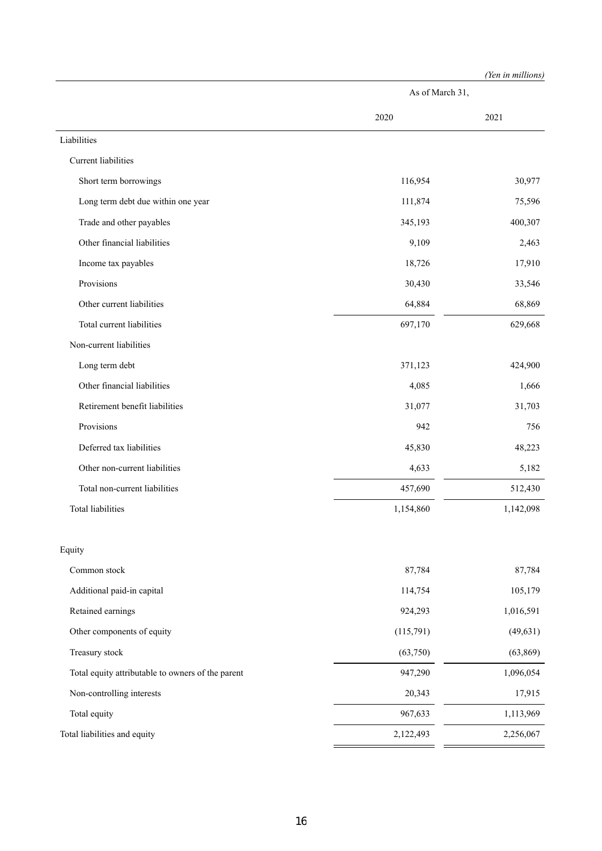|                                                   |                 | (Yen in millions) |  |
|---------------------------------------------------|-----------------|-------------------|--|
|                                                   | As of March 31, |                   |  |
|                                                   | 2020            | 2021              |  |
| Liabilities                                       |                 |                   |  |
| Current liabilities                               |                 |                   |  |
| Short term borrowings                             | 116,954         | 30,977            |  |
| Long term debt due within one year                | 111,874         | 75,596            |  |
| Trade and other payables                          | 345,193         | 400,307           |  |
| Other financial liabilities                       | 9,109           | 2,463             |  |
| Income tax payables                               | 18,726          | 17,910            |  |
| Provisions                                        | 30,430          | 33,546            |  |
| Other current liabilities                         | 64,884          | 68,869            |  |
| Total current liabilities                         | 697,170         | 629,668           |  |
| Non-current liabilities                           |                 |                   |  |
| Long term debt                                    | 371,123         | 424,900           |  |
| Other financial liabilities                       | 4,085           | 1,666             |  |
| Retirement benefit liabilities                    | 31,077          | 31,703            |  |
| Provisions                                        | 942             | 756               |  |
| Deferred tax liabilities                          | 45,830          | 48,223            |  |
| Other non-current liabilities                     | 4,633           | 5,182             |  |
| Total non-current liabilities                     | 457,690         | 512,430           |  |
| <b>Total liabilities</b>                          | 1,154,860       | 1,142,098         |  |
| Equity                                            |                 |                   |  |
| Common stock                                      | 87,784          | 87,784            |  |
| Additional paid-in capital                        | 114,754         | 105,179           |  |
| Retained earnings                                 | 924,293         | 1,016,591         |  |
| Other components of equity                        | (115,791)       | (49, 631)         |  |
| Treasury stock                                    | (63,750)        | (63, 869)         |  |
| Total equity attributable to owners of the parent | 947,290         | 1,096,054         |  |
| Non-controlling interests                         | 20,343          | 17,915            |  |
| Total equity                                      | 967,633         | 1,113,969         |  |
| Total liabilities and equity                      | 2,122,493       | 2,256,067         |  |
|                                                   |                 |                   |  |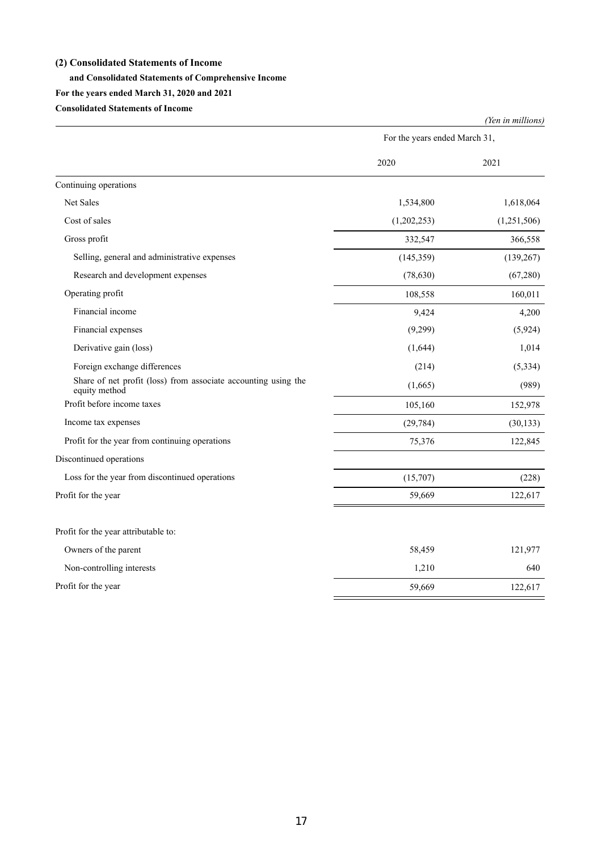## **(2) Consolidated Statements of Income**

## **and Consolidated Statements of Comprehensive Income**

## **For the years ended March 31, 2020 and 2021**

**Consolidated Statements of Income**

|                                                                                 | For the years ended March 31, |             |
|---------------------------------------------------------------------------------|-------------------------------|-------------|
|                                                                                 | 2020                          | 2021        |
| Continuing operations                                                           |                               |             |
| Net Sales                                                                       | 1,534,800                     | 1,618,064   |
| Cost of sales                                                                   | (1,202,253)                   | (1,251,506) |
| Gross profit                                                                    | 332,547                       | 366,558     |
| Selling, general and administrative expenses                                    | (145,359)                     | (139, 267)  |
| Research and development expenses                                               | (78, 630)                     | (67,280)    |
| Operating profit                                                                | 108,558                       | 160,011     |
| Financial income                                                                | 9,424                         | 4,200       |
| Financial expenses                                                              | (9,299)                       | (5,924)     |
| Derivative gain (loss)                                                          | (1,644)                       | 1,014       |
| Foreign exchange differences                                                    | (214)                         | (5, 334)    |
| Share of net profit (loss) from associate accounting using the<br>equity method | (1,665)                       | (989)       |
| Profit before income taxes                                                      | 105,160                       | 152,978     |
| Income tax expenses                                                             | (29, 784)                     | (30, 133)   |
| Profit for the year from continuing operations                                  | 75,376                        | 122,845     |
| Discontinued operations                                                         |                               |             |
| Loss for the year from discontinued operations                                  | (15,707)                      | (228)       |
| Profit for the year                                                             | 59,669                        | 122,617     |
| Profit for the year attributable to:                                            |                               |             |
| Owners of the parent                                                            | 58,459                        | 121,977     |
| Non-controlling interests                                                       | 1,210                         | 640         |
| Profit for the year                                                             | 59,669                        | 122,617     |

*(Yen in millions)*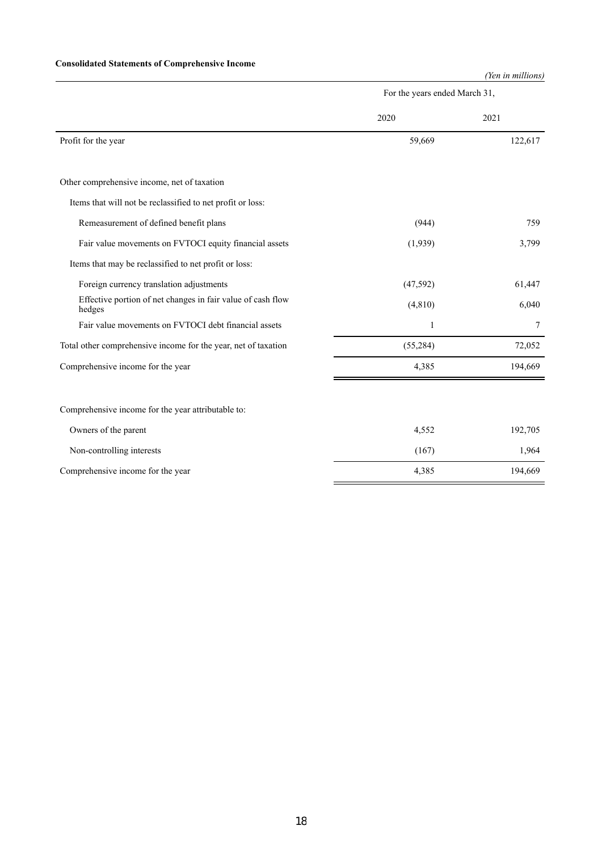## **Consolidated Statements of Comprehensive Income**

*(Yen in millions)*

|                                                                       | For the years ended March 31, |         |
|-----------------------------------------------------------------------|-------------------------------|---------|
|                                                                       | 2020                          | 2021    |
| Profit for the year                                                   | 59,669                        | 122,617 |
|                                                                       |                               |         |
| Other comprehensive income, net of taxation                           |                               |         |
| Items that will not be reclassified to net profit or loss:            |                               |         |
| Remeasurement of defined benefit plans                                | (944)                         | 759     |
| Fair value movements on FVTOCI equity financial assets                | (1,939)                       | 3,799   |
| Items that may be reclassified to net profit or loss:                 |                               |         |
| Foreign currency translation adjustments                              | (47,592)                      | 61,447  |
| Effective portion of net changes in fair value of cash flow<br>hedges | (4, 810)                      | 6,040   |
| Fair value movements on FVTOCI debt financial assets                  | $\mathbf{1}$                  | 7       |
| Total other comprehensive income for the year, net of taxation        | (55, 284)                     | 72,052  |
| Comprehensive income for the year                                     | 4,385                         | 194,669 |
|                                                                       |                               |         |
| Comprehensive income for the year attributable to:                    |                               |         |
| Owners of the parent                                                  | 4,552                         | 192,705 |
| Non-controlling interests                                             | (167)                         | 1,964   |
| Comprehensive income for the year                                     | 4,385                         | 194,669 |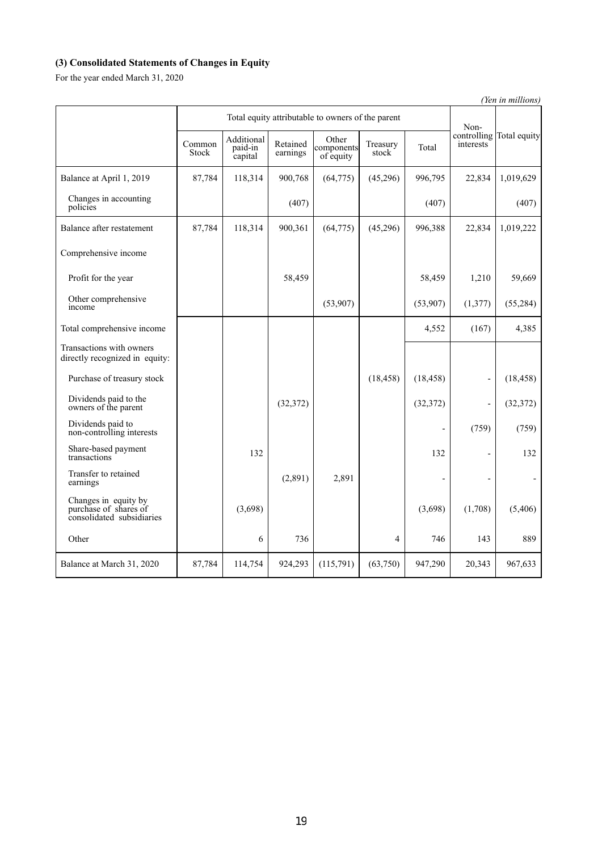## **(3) Consolidated Statements of Changes in Equity**

For the year ended March 31, 2020

*(Yen in millions)* Total equity attributable to owners of the parent Noncontrolling Total equity interests Common Stock Additional paid-in capital Retained earnings Other components of equity Treasury reasury Total Balance at April 1, 2019 87,784 118,314 900,768 (64,775) (45,296) 996,795 22,834 1,019,629 Changes in accounting Changes in accounting (407) (407) (407) (407) (407) (407) (407) Balance after restatement 87,784 118,314 900,361 (64,775) (45,296) 996,388 22,834 1,019,222 Comprehensive income Profit for the year 1,210 1,210 1,210 1,210 59,669 Other comprehensive Other comprehensive<br>
income (53,907) (53,907) (1,377) (55,284) Total comprehensive income **1** and 1 and 1 and 1 and 1 and 1 and 1 and 1 and 1 and 1 and 1 and 1 and 1 and 1 and 1 and 1 and 1 and 1 and 1 and 1 and 1 and 1 and 1 and 1 and 1 and 1 and 1 and 1 and 1 and 1 and 1 and 1 and 1 Transactions with owners directly recognized in equity: Purchase of treasury stock (18,458) (18,458) (18,458) - (18,458) Dividends paid to the  $(32,372)$  (32,372)  $(32,372)$  (32,372) (32,372) Dividends paid to (759) (759) (759) (759) (759) (759) (759) (759) (759) (759) (759) (759) (759) (759) (759) (759) (759) (759) (759) (759) (759) (759) (759) (759) (759) (759) (759) (759) (759) (759) (759) (759) (759) (759) Share-based payment Share-based payment<br>transactions 132 132 132 132 Transfer to retained Transfer to retained  $(2,891)$   $2,891$   $-$ Changes in equity by purchase of shares of consolidated subsidiaries  $(3,698)$   $(1,708)$   $(5,406)$ Other 6 736 4 746 143 889 Balance at March 31, 2020 87,784 114,754 924,293 (115,791) (63,750) 947,290 20,343 967,633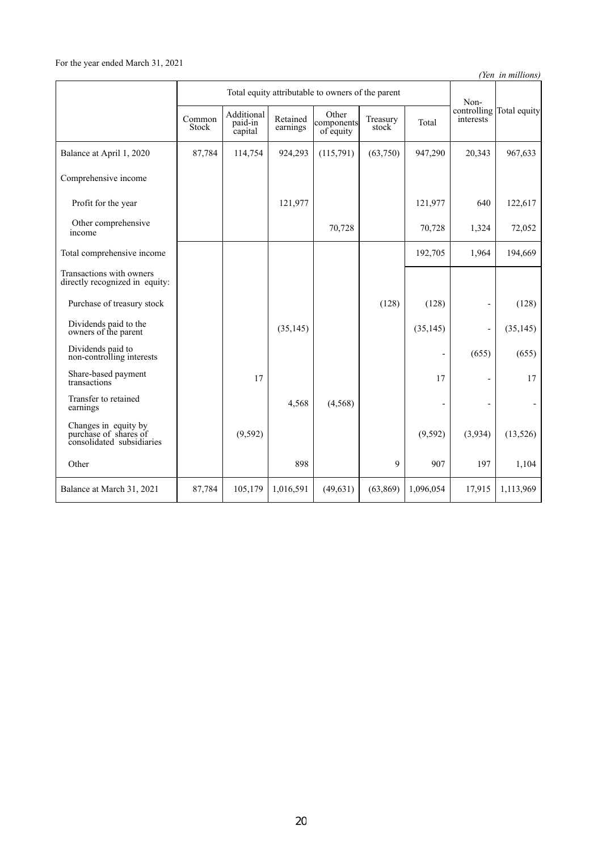*(Yen in millions)*

|                                                                            | Total equity attributable to owners of the parent |                                  |                      |                                  |                   | Non-                     |                              |                          |
|----------------------------------------------------------------------------|---------------------------------------------------|----------------------------------|----------------------|----------------------------------|-------------------|--------------------------|------------------------------|--------------------------|
|                                                                            | Common<br>Stock                                   | Additional<br>paid-in<br>capital | Retained<br>earnings | Other<br>components<br>of equity | Treasury<br>stock | Total                    | <i>interests</i>             | controlling Total equity |
| Balance at April 1, 2020                                                   | 87,784                                            | 114,754                          | 924,293              | (115,791)                        | (63,750)          | 947,290                  | 20,343                       | 967,633                  |
| Comprehensive income                                                       |                                                   |                                  |                      |                                  |                   |                          |                              |                          |
| Profit for the year                                                        |                                                   |                                  | 121,977              |                                  |                   | 121,977                  | 640                          | 122,617                  |
| Other comprehensive<br>income                                              |                                                   |                                  |                      | 70,728                           |                   | 70,728                   | 1,324                        | 72,052                   |
| Total comprehensive income                                                 |                                                   |                                  |                      |                                  |                   | 192,705                  | 1,964                        | 194,669                  |
| Transactions with owners<br>directly recognized in equity:                 |                                                   |                                  |                      |                                  |                   |                          |                              |                          |
| Purchase of treasury stock                                                 |                                                   |                                  |                      |                                  | (128)             | (128)                    | $\qquad \qquad \blacksquare$ | (128)                    |
| Dividends paid to the<br>owners of the parent                              |                                                   |                                  | (35, 145)            |                                  |                   | (35, 145)                | L,                           | (35, 145)                |
| Dividends paid to<br>non-controlling interests                             |                                                   |                                  |                      |                                  |                   | $\overline{\phantom{a}}$ | (655)                        | (655)                    |
| Share-based payment<br>transactions                                        |                                                   | 17                               |                      |                                  |                   | 17                       | $\qquad \qquad \blacksquare$ | 17                       |
| Transfer to retained<br>earnings                                           |                                                   |                                  | 4,568                | (4, 568)                         |                   |                          |                              |                          |
| Changes in equity by<br>purchase of shares of<br>consolidated subsidiaries |                                                   | (9, 592)                         |                      |                                  |                   | (9, 592)                 | (3,934)                      | (13,526)                 |
| Other                                                                      |                                                   |                                  | 898                  |                                  | 9                 | 907                      | 197                          | 1,104                    |
| Balance at March 31, 2021                                                  | 87,784                                            | 105,179                          | 1,016,591            | (49, 631)                        | (63, 869)         | 1,096,054                | 17,915                       | 1,113,969                |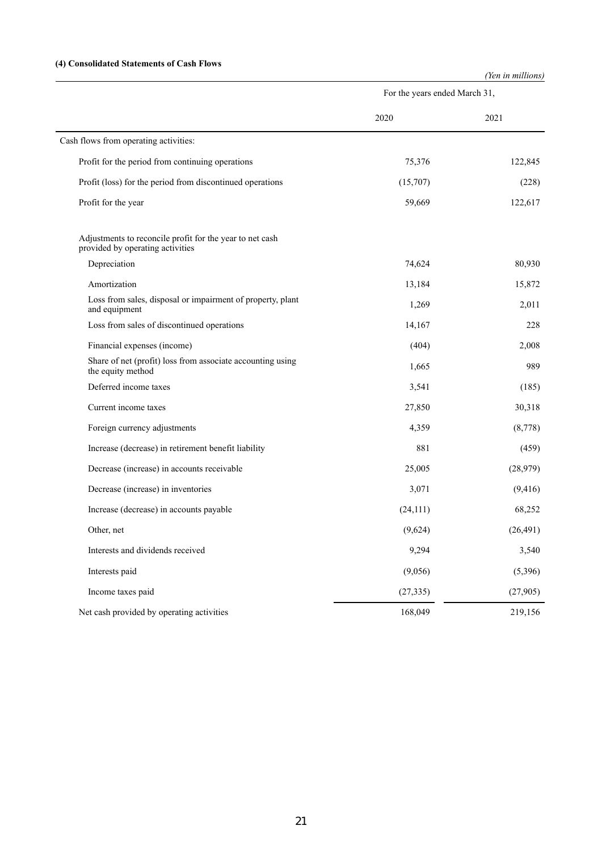## **(4) Consolidated Statements of Cash Flows**

|                                                                                              |                               | (Yen in millions) |
|----------------------------------------------------------------------------------------------|-------------------------------|-------------------|
|                                                                                              | For the years ended March 31, |                   |
|                                                                                              | 2020                          | 2021              |
| Cash flows from operating activities:                                                        |                               |                   |
| Profit for the period from continuing operations                                             | 75,376                        | 122,845           |
| Profit (loss) for the period from discontinued operations                                    | (15,707)                      | (228)             |
| Profit for the year                                                                          | 59,669                        | 122,617           |
| Adjustments to reconcile profit for the year to net cash<br>provided by operating activities |                               |                   |
| Depreciation                                                                                 | 74,624                        | 80,930            |
| Amortization                                                                                 | 13,184                        | 15,872            |
| Loss from sales, disposal or impairment of property, plant<br>and equipment                  | 1,269                         | 2,011             |
| Loss from sales of discontinued operations                                                   | 14,167                        | 228               |
| Financial expenses (income)                                                                  | (404)                         | 2,008             |
| Share of net (profit) loss from associate accounting using<br>the equity method              | 1,665                         | 989               |
| Deferred income taxes                                                                        | 3,541                         | (185)             |
| Current income taxes                                                                         | 27,850                        | 30,318            |
| Foreign currency adjustments                                                                 | 4,359                         | (8,778)           |
| Increase (decrease) in retirement benefit liability                                          | 881                           | (459)             |
| Decrease (increase) in accounts receivable                                                   | 25,005                        | (28,979)          |
| Decrease (increase) in inventories                                                           | 3,071                         | (9, 416)          |
| Increase (decrease) in accounts payable                                                      | (24, 111)                     | 68,252            |
| Other, net                                                                                   | (9,624)                       | (26, 491)         |
| Interests and dividends received                                                             | 9,294                         | 3,540             |
| Interests paid                                                                               | (9,056)                       | (5,396)           |
| Income taxes paid                                                                            | (27, 335)                     | (27,905)          |
| Net cash provided by operating activities                                                    | 168,049                       | 219,156           |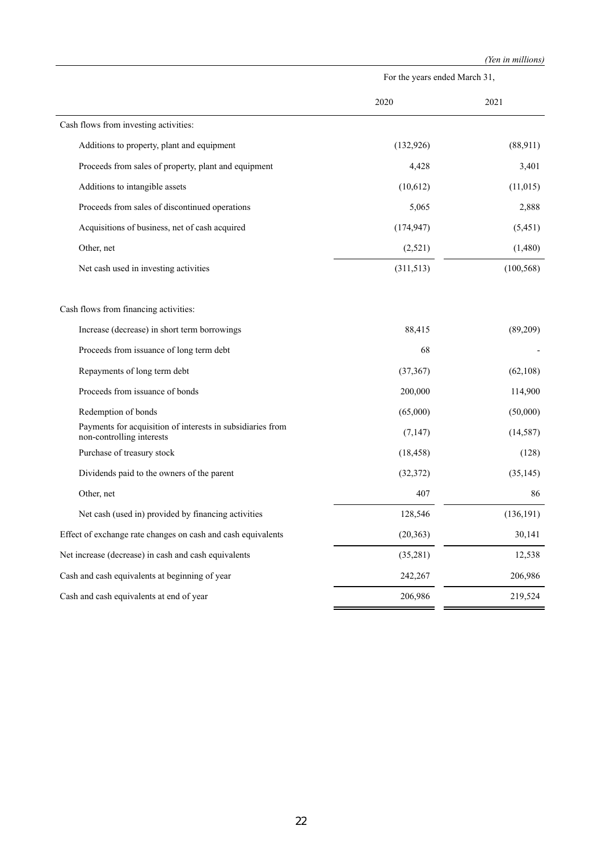|                                                                                         |                               | (Yen in millions) |  |
|-----------------------------------------------------------------------------------------|-------------------------------|-------------------|--|
|                                                                                         | For the years ended March 31, |                   |  |
|                                                                                         | 2020                          | 2021              |  |
| Cash flows from investing activities:                                                   |                               |                   |  |
| Additions to property, plant and equipment                                              | (132, 926)                    | (88,911)          |  |
| Proceeds from sales of property, plant and equipment                                    | 4,428                         | 3,401             |  |
| Additions to intangible assets                                                          | (10,612)                      | (11, 015)         |  |
| Proceeds from sales of discontinued operations                                          | 5,065                         | 2,888             |  |
| Acquisitions of business, net of cash acquired                                          | (174, 947)                    | (5,451)           |  |
| Other, net                                                                              | (2,521)                       | (1,480)           |  |
| Net cash used in investing activities                                                   | (311,513)                     | (100, 568)        |  |
| Cash flows from financing activities:                                                   |                               |                   |  |
| Increase (decrease) in short term borrowings                                            | 88,415                        | (89,209)          |  |
| Proceeds from issuance of long term debt                                                | 68                            |                   |  |
| Repayments of long term debt                                                            | (37, 367)                     | (62, 108)         |  |
| Proceeds from issuance of bonds                                                         | 200,000                       | 114,900           |  |
| Redemption of bonds                                                                     | (65,000)                      | (50,000)          |  |
| Payments for acquisition of interests in subsidiaries from<br>non-controlling interests | (7,147)                       | (14, 587)         |  |
| Purchase of treasury stock                                                              | (18, 458)                     | (128)             |  |
| Dividends paid to the owners of the parent                                              | (32, 372)                     | (35, 145)         |  |
| Other, net                                                                              | 407                           | 86                |  |
| Net cash (used in) provided by financing activities                                     | 128,546                       | (136, 191)        |  |
| Effect of exchange rate changes on cash and cash equivalents                            | (20, 363)                     | 30,141            |  |
| Net increase (decrease) in cash and cash equivalents                                    | (35,281)                      | 12,538            |  |
| Cash and cash equivalents at beginning of year                                          | 242,267                       | 206,986           |  |
| Cash and cash equivalents at end of year                                                | 206,986                       | 219,524           |  |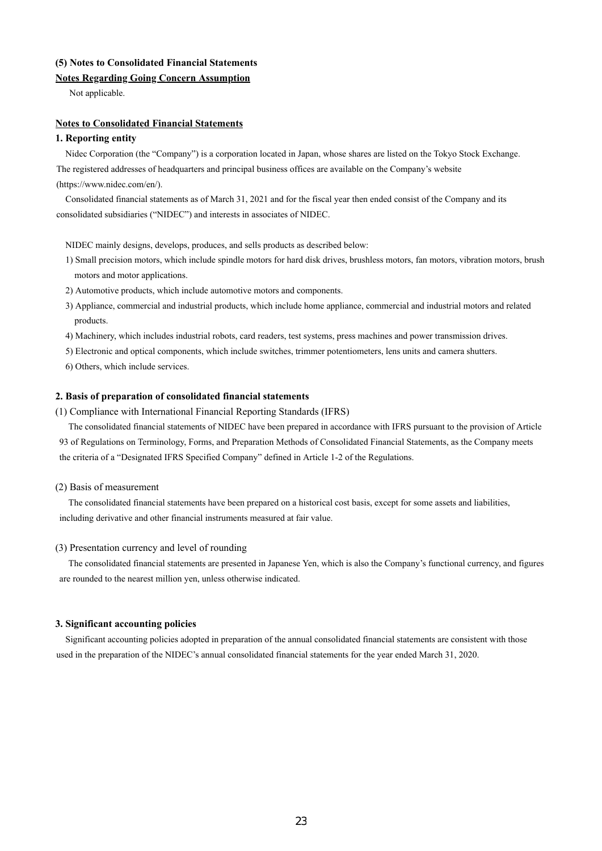## **(5) Notes to Consolidated Financial Statements**

## **Notes Regarding Going Concern Assumption**

Not applicable.

## **Notes to Consolidated Financial Statements**

## **1. Reporting entity**

Nidec Corporation (the "Company") is a corporation located in Japan, whose shares are listed on the Tokyo Stock Exchange. The registered addresses of headquarters and principal business offices are available on the Company's website (https://www.nidec.com/en/).

Consolidated financial statements as of March 31, 2021 and for the fiscal year then ended consist of the Company and its consolidated subsidiaries ("NIDEC") and interests in associates of NIDEC.

NIDEC mainly designs, develops, produces, and sells products as described below:

- 1) Small precision motors, which include spindle motors for hard disk drives, brushless motors, fan motors, vibration motors, brush motors and motor applications.
- 2) Automotive products, which include automotive motors and components.
- 3) Appliance, commercial and industrial products, which include home appliance, commercial and industrial motors and related products.
- 4) Machinery, which includes industrial robots, card readers, test systems, press machines and power transmission drives.
- 5) Electronic and optical components, which include switches, trimmer potentiometers, lens units and camera shutters.
- 6) Others, which include services.

#### **2. Basis of preparation of consolidated financial statements**

(1) Compliance with International Financial Reporting Standards (IFRS)

The consolidated financial statements of NIDEC have been prepared in accordance with IFRS pursuant to the provision of Article 93 of Regulations on Terminology, Forms, and Preparation Methods of Consolidated Financial Statements, as the Company meets the criteria of a "Designated IFRS Specified Company" defined in Article 1-2 of the Regulations.

#### (2) Basis of measurement

The consolidated financial statements have been prepared on a historical cost basis, except for some assets and liabilities, including derivative and other financial instruments measured at fair value.

#### (3) Presentation currency and level of rounding

The consolidated financial statements are presented in Japanese Yen, which is also the Company's functional currency, and figures are rounded to the nearest million yen, unless otherwise indicated.

## **3. Significant accounting policies**

Significant accounting policies adopted in preparation of the annual consolidated financial statements are consistent with those used in the preparation of the NIDEC's annual consolidated financial statements for the year ended March 31, 2020.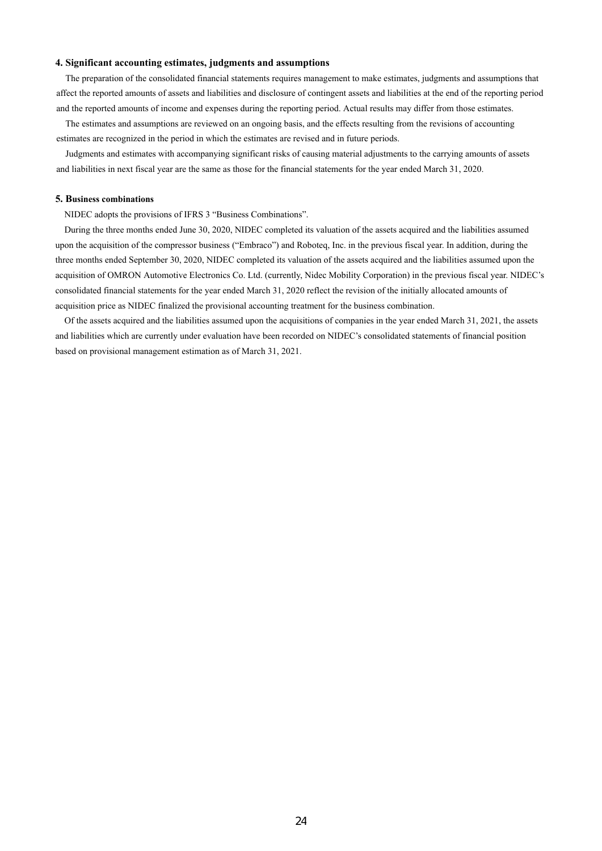#### **4. Significant accounting estimates, judgments and assumptions**

The preparation of the consolidated financial statements requires management to make estimates, judgments and assumptions that affect the reported amounts of assets and liabilities and disclosure of contingent assets and liabilities at the end of the reporting period and the reported amounts of income and expenses during the reporting period. Actual results may differ from those estimates.

The estimates and assumptions are reviewed on an ongoing basis, and the effects resulting from the revisions of accounting estimates are recognized in the period in which the estimates are revised and in future periods.

Judgments and estimates with accompanying significant risks of causing material adjustments to the carrying amounts of assets and liabilities in next fiscal year are the same as those for the financial statements for the year ended March 31, 2020.

#### **5. Business combinations**

NIDEC adopts the provisions of IFRS 3 "Business Combinations".

During the three months ended June 30, 2020, NIDEC completed its valuation of the assets acquired and the liabilities assumed upon the acquisition of the compressor business ("Embraco") and Roboteq, Inc. in the previous fiscal year. In addition, during the three months ended September 30, 2020, NIDEC completed its valuation of the assets acquired and the liabilities assumed upon the acquisition of OMRON Automotive Electronics Co. Ltd. (currently, Nidec Mobility Corporation) in the previous fiscal year. NIDEC's consolidated financial statements for the year ended March 31, 2020 reflect the revision of the initially allocated amounts of acquisition price as NIDEC finalized the provisional accounting treatment for the business combination.

Of the assets acquired and the liabilities assumed upon the acquisitions of companies in the year ended March 31, 2021, the assets and liabilities which are currently under evaluation have been recorded on NIDEC's consolidated statements of financial position based on provisional management estimation as of March 31, 2021.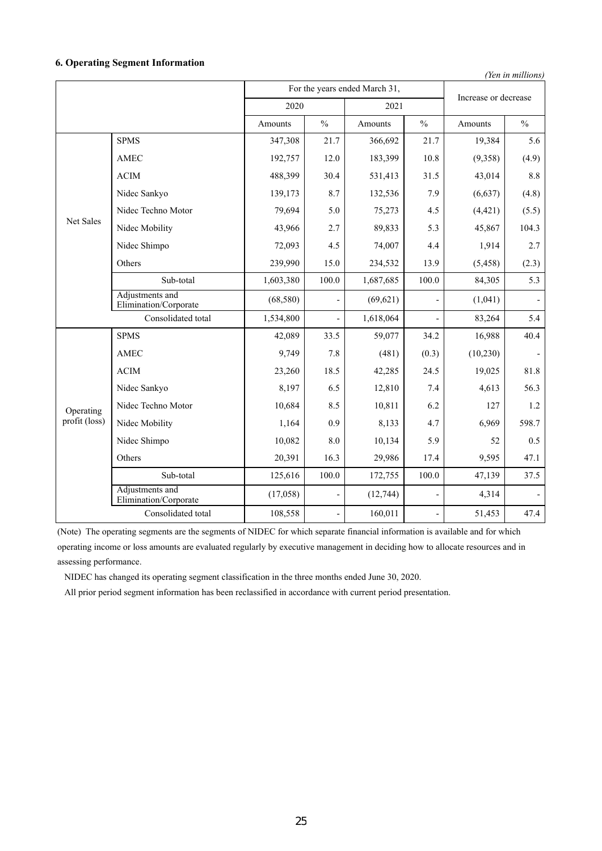## **6. Operating Segment Information**

*(Yen in millions)*

|                                   | For the years ended March 31,            |           |               | Increase or decrease |                          |          |               |
|-----------------------------------|------------------------------------------|-----------|---------------|----------------------|--------------------------|----------|---------------|
|                                   |                                          | 2020      |               | 2021                 |                          |          |               |
|                                   |                                          | Amounts   | $\frac{0}{0}$ | Amounts              | $\frac{0}{0}$            | Amounts  | $\frac{0}{0}$ |
|                                   | <b>SPMS</b>                              | 347,308   | 21.7          | 366,692              | 21.7                     | 19,384   | 5.6           |
|                                   | <b>AMEC</b>                              | 192,757   | 12.0          | 183,399              | 10.8                     | (9,358)  | (4.9)         |
|                                   | <b>ACIM</b>                              | 488,399   | 30.4          | 531,413              | 31.5                     | 43,014   | 8.8           |
|                                   | Nidec Sankyo                             | 139,173   | 8.7           | 132,536              | 7.9                      | (6, 637) | (4.8)         |
|                                   | Nidec Techno Motor                       | 79,694    | 5.0           | 75,273               | 4.5                      | (4, 421) | (5.5)         |
| Net Sales                         | Nidec Mobility                           | 43,966    | 2.7           | 89,833               | 5.3                      | 45,867   | 104.3         |
|                                   | Nidec Shimpo                             | 72,093    | 4.5           | 74,007               | 4.4                      | 1,914    | 2.7           |
|                                   | Others                                   | 239,990   | 15.0          | 234,532              | 13.9                     | (5, 458) | (2.3)         |
|                                   | Sub-total                                | 1,603,380 | 100.0         | 1,687,685            | 100.0                    | 84,305   | 5.3           |
|                                   | Adjustments and<br>Elimination/Corporate | (68, 580) |               | (69, 621)            |                          | (1,041)  |               |
|                                   | Consolidated total                       | 1,534,800 |               | 1,618,064            |                          | 83,264   | 5.4           |
|                                   | <b>SPMS</b>                              | 42,089    | 33.5          | 59,077               | 34.2                     | 16,988   | 40.4          |
|                                   | <b>AMEC</b>                              | 9,749     | 7.8           | (481)                | (0.3)                    | (10,230) |               |
|                                   | <b>ACIM</b>                              | 23,260    | 18.5          | 42,285               | 24.5                     | 19,025   | 81.8          |
|                                   | Nidec Sankyo                             | 8,197     | 6.5           | 12,810               | 7.4                      | 4,613    | 56.3          |
| Operating                         | Nidec Techno Motor                       | 10,684    | 8.5           | 10,811               | 6.2                      | 127      | 1.2           |
| $\overline{\text{profit}}$ (loss) | Nidec Mobility                           | 1,164     | 0.9           | 8,133                | 4.7                      | 6,969    | 598.7         |
|                                   | Nidec Shimpo                             | 10,082    | 8.0           | 10,134               | 5.9                      | 52       | 0.5           |
|                                   | Others                                   | 20,391    | 16.3          | 29,986               | 17.4                     | 9,595    | 47.1          |
|                                   | Sub-total                                | 125,616   | 100.0         | 172,755              | 100.0                    | 47,139   | 37.5          |
|                                   | Adjustments and<br>Elimination/Corporate | (17,058)  |               | (12,744)             | $\overline{\phantom{a}}$ | 4,314    |               |
|                                   | Consolidated total                       | 108,558   |               | 160,011              |                          | 51,453   | 47.4          |

(Note) The operating segments are the segments of NIDEC for which separate financial information is available and for which

operating income or loss amounts are evaluated regularly by executive management in deciding how to allocate resources and in assessing performance.

NIDEC has changed its operating segment classification in the three months ended June 30, 2020.

All prior period segment information has been reclassified in accordance with current period presentation.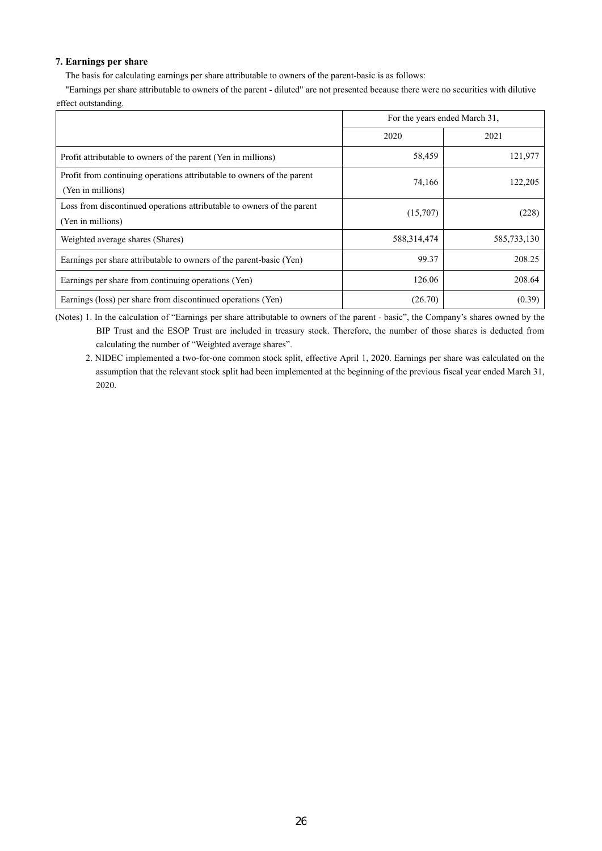## **7. Earnings per share**

The basis for calculating earnings per share attributable to owners of the parent-basic is as follows:

"Earnings per share attributable to owners of the parent - diluted" are not presented because there were no securities with dilutive effect outstanding.

|                                                                                             | For the years ended March 31, |             |
|---------------------------------------------------------------------------------------------|-------------------------------|-------------|
|                                                                                             | 2020                          | 2021        |
| Profit attributable to owners of the parent (Yen in millions)                               | 58,459                        | 121,977     |
| Profit from continuing operations attributable to owners of the parent<br>(Yen in millions) | 74,166                        | 122,205     |
| Loss from discontinued operations attributable to owners of the parent<br>(Yen in millions) | (15,707)                      | (228)       |
| Weighted average shares (Shares)                                                            | 588,314,474                   | 585,733,130 |
| Earnings per share attributable to owners of the parent-basic (Yen)                         | 99.37                         | 208.25      |
| Earnings per share from continuing operations (Yen)                                         | 126.06                        | 208.64      |
| Earnings (loss) per share from discontinued operations (Yen)                                | (26.70)                       | (0.39)      |

(Notes) 1. In the calculation of "Earnings per share attributable to owners of the parent - basic", the Company's shares owned by the BIP Trust and the ESOP Trust are included in treasury stock. Therefore, the number of those shares is deducted from calculating the number of "Weighted average shares".

2. NIDEC implemented a two-for-one common stock split, effective April 1, 2020. Earnings per share was calculated on the assumption that the relevant stock split had been implemented at the beginning of the previous fiscal year ended March 31, 2020.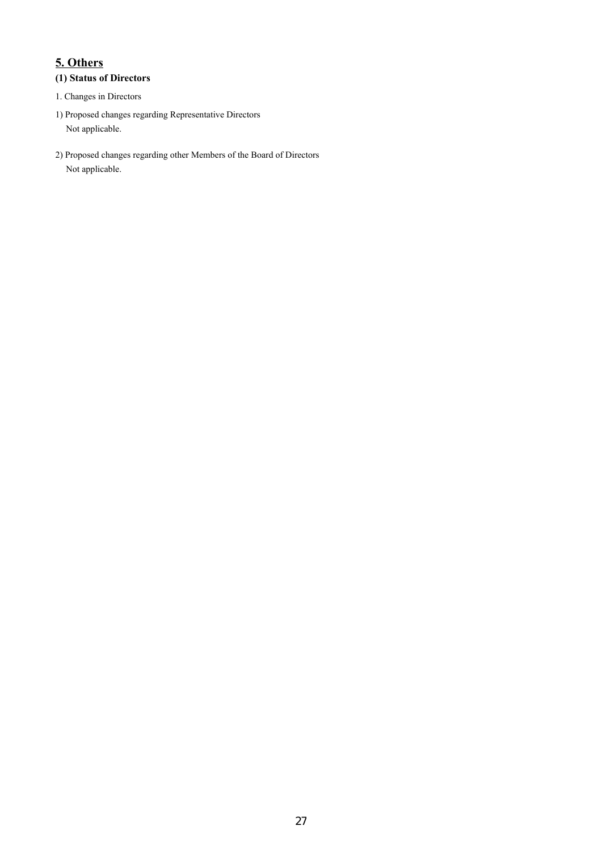# **5. Others**

## **(1) Status of Directors**

- 1. Changes in Directors
- 1) Proposed changes regarding Representative Directors Not applicable.
- 2) Proposed changes regarding other Members of the Board of Directors Not applicable.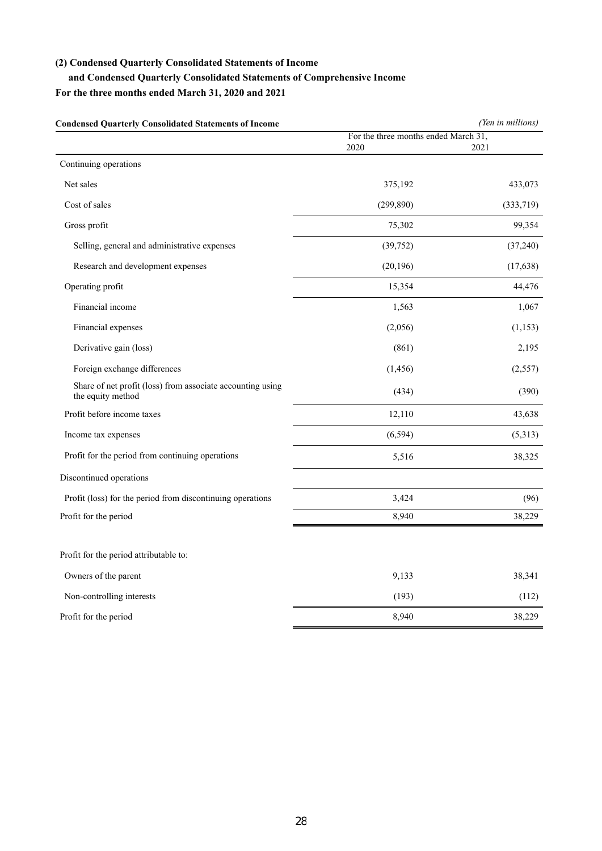## **(2) Condensed Quarterly Consolidated Statements of Income**

## **and Condensed Quarterly Consolidated Statements of Comprehensive Income**

## **For the three months ended March 31, 2020 and 2021**

| Condensed Quarterly Consolidated Statements of Income                           | (Yen in millions)                            |           |  |
|---------------------------------------------------------------------------------|----------------------------------------------|-----------|--|
|                                                                                 | For the three months ended March 31,<br>2020 | 2021      |  |
| Continuing operations                                                           |                                              |           |  |
| Net sales                                                                       | 375,192                                      | 433,073   |  |
| Cost of sales                                                                   | (299, 890)                                   | (333,719) |  |
|                                                                                 |                                              |           |  |
| Gross profit                                                                    | 75,302                                       | 99,354    |  |
| Selling, general and administrative expenses                                    | (39, 752)                                    | (37,240)  |  |
| Research and development expenses                                               | (20, 196)                                    | (17, 638) |  |
| Operating profit                                                                | 15,354                                       | 44,476    |  |
| Financial income                                                                | 1,563                                        | 1,067     |  |
| Financial expenses                                                              | (2,056)                                      | (1, 153)  |  |
| Derivative gain (loss)                                                          | (861)                                        | 2,195     |  |
| Foreign exchange differences                                                    | (1, 456)                                     | (2,557)   |  |
| Share of net profit (loss) from associate accounting using<br>the equity method | (434)                                        | (390)     |  |
| Profit before income taxes                                                      | 12,110                                       | 43,638    |  |
| Income tax expenses                                                             | (6, 594)                                     | (5,313)   |  |
| Profit for the period from continuing operations                                | 5,516                                        | 38,325    |  |
| Discontinued operations                                                         |                                              |           |  |
| Profit (loss) for the period from discontinuing operations                      | 3,424                                        | (96)      |  |
| Profit for the period                                                           | 8,940                                        | 38,229    |  |
| Profit for the period attributable to:                                          |                                              |           |  |
| Owners of the parent                                                            | 9,133                                        | 38,341    |  |
| Non-controlling interests                                                       | (193)                                        | (112)     |  |
| Profit for the period                                                           | 8,940                                        | 38,229    |  |

**Condensed Quarterly Consolidated Statements of Income** *(Yen in millions)*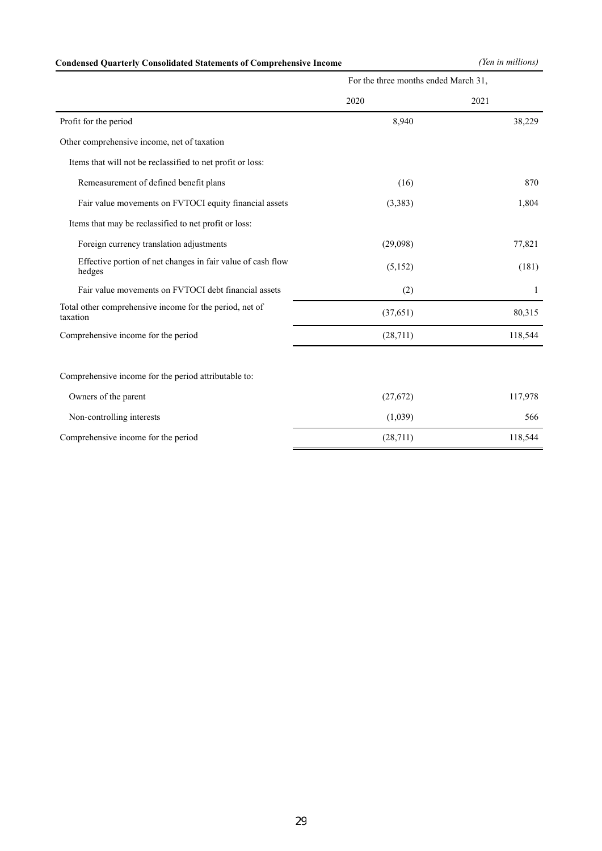## **Condensed Quarterly Consolidated Statements of Comprehensive Income** *(Yen in millions)*

|                                                                       | For the three months ended March 31, |         |  |
|-----------------------------------------------------------------------|--------------------------------------|---------|--|
|                                                                       | 2020                                 | 2021    |  |
| Profit for the period                                                 | 8,940                                | 38,229  |  |
| Other comprehensive income, net of taxation                           |                                      |         |  |
| Items that will not be reclassified to net profit or loss:            |                                      |         |  |
| Remeasurement of defined benefit plans                                | (16)                                 | 870     |  |
| Fair value movements on FVTOCI equity financial assets                | (3, 383)                             | 1,804   |  |
| Items that may be reclassified to net profit or loss:                 |                                      |         |  |
| Foreign currency translation adjustments                              | (29,098)                             | 77,821  |  |
| Effective portion of net changes in fair value of cash flow<br>hedges | (5,152)                              | (181)   |  |
| Fair value movements on FVTOCI debt financial assets                  | (2)                                  | 1       |  |
| Total other comprehensive income for the period, net of<br>taxation   | (37,651)                             | 80,315  |  |
| Comprehensive income for the period                                   | (28, 711)                            | 118,544 |  |
|                                                                       |                                      |         |  |
| Comprehensive income for the period attributable to:                  |                                      |         |  |
| Owners of the parent                                                  | (27,672)                             | 117,978 |  |
| Non-controlling interests                                             | (1,039)                              | 566     |  |
| Comprehensive income for the period                                   | (28,711)                             | 118,544 |  |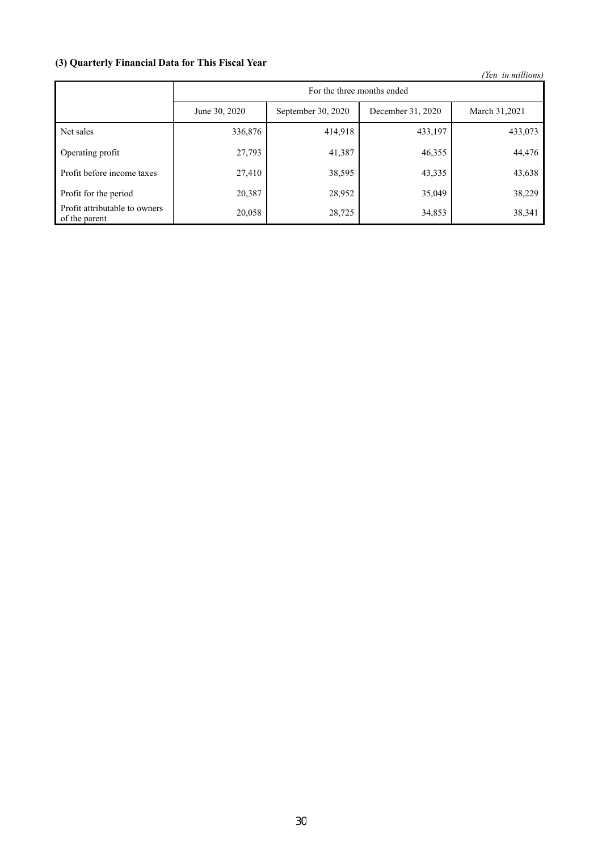## **(3) Quarterly Financial Data for This Fiscal Year**

 *(Yen in millions)*

|                                                |               | For the three months ended |                   |               |  |  |  |  |
|------------------------------------------------|---------------|----------------------------|-------------------|---------------|--|--|--|--|
|                                                | June 30, 2020 | September 30, 2020         | December 31, 2020 | March 31,2021 |  |  |  |  |
| Net sales                                      | 336,876       | 414,918                    | 433,197           | 433,073       |  |  |  |  |
| Operating profit                               | 27,793        | 41,387                     | 46,355            | 44,476        |  |  |  |  |
| Profit before income taxes                     | 27,410        | 38,595                     | 43,335            | 43,638        |  |  |  |  |
| Profit for the period                          | 20,387        | 28,952                     | 35,049            | 38,229        |  |  |  |  |
| Profit attributable to owners<br>of the parent | 20,058        | 28,725                     | 34,853            | 38,341        |  |  |  |  |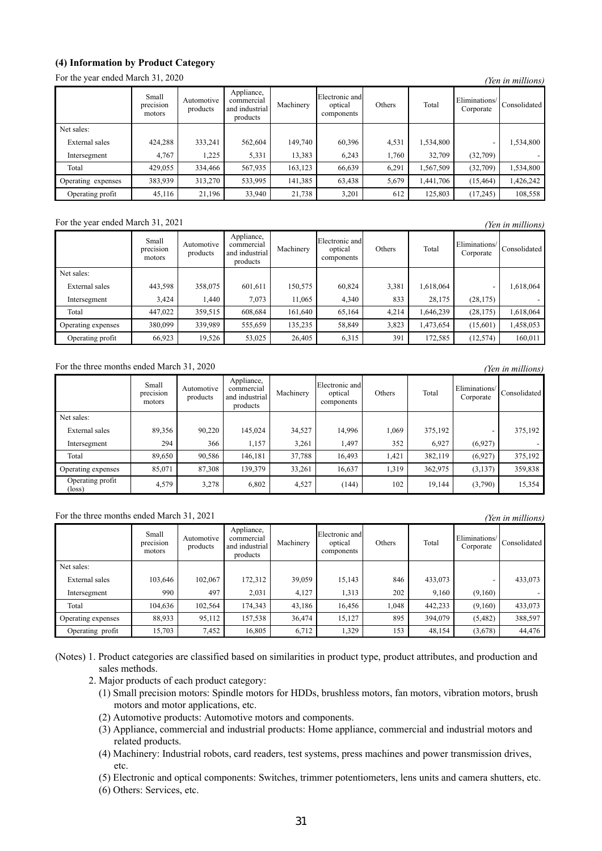## **(4) Information by Product Category**

For the year ended March 31, 2020 *(Yen in millions)*

|                    |                              |                        |                                                        |           |                                         |        |           |                            | <i>ren in munions)</i> |
|--------------------|------------------------------|------------------------|--------------------------------------------------------|-----------|-----------------------------------------|--------|-----------|----------------------------|------------------------|
|                    | Small<br>precision<br>motors | Automotive<br>products | Appliance,<br>commercial<br>and industrial<br>products | Machinery | Electronic and<br>optical<br>components | Others | Total     | Eliminations/<br>Corporate | Consolidated           |
| Net sales:         |                              |                        |                                                        |           |                                         |        |           |                            |                        |
| External sales     | 424,288                      | 333,241                | 562,604                                                | 149,740   | 60,396                                  | 4,531  | 1,534,800 |                            | .534,800               |
| Intersegment       | 4,767                        | 1,225                  | 5,331                                                  | 13,383    | 6,243                                   | 1,760  | 32,709    | (32,709)                   |                        |
| Total              | 429,055                      | 334,466                | 567,935                                                | 163,123   | 66,639                                  | 6,291  | 1,567,509 | (32,709)                   | 534,800                |
| Operating expenses | 383,939                      | 313,270                | 533,995                                                | 141,385   | 63,438                                  | 5,679  | 1,441,706 | (15, 464)                  | ,426,242               |
| Operating profit   | 45,116                       | 21,196                 | 33,940                                                 | 21,738    | 3,201                                   | 612    | 125,803   | (17,245)                   | 108,558                |

## For the year ended March 31, 2021 *(Yen in millions)*

Small precision motors Automotive products Appliance, commercial and industrial products Machinery Electronic and optical components Others Total Eliminations Consolidated Net sales: the contract of the contract of the contract of the contract of the contract of the contract of the contract of the contract of the contract of the contract of the contract of the contract of the contract of the External sales 443,598 358,075 601,611 150,575 60,824 3,381 1,618,064 - 1,618,064 Intersegment 1 3,424 1,440 7,073 11,065 4,340 833 28,175 (28,175) -Total 447,022 359,515 608,684 161,640 65,164 4,214 1,646,239 (28,175) 1,618,064 Operating expenses 380,099 339,989 555,659 135,235 58,849 3,823 1,473,654 (15,601) 1,458,053 Operating profit 66,923 19,526 53,025 26,405 6,315 391 172,585 (12,574) 160,011

## For the three months ended March 31, 2020 *(Yen in millions)*

|                                     | Small<br>precision<br>motors | Automotive<br>products | Appliance,<br>commercial<br>and industrial<br>products | Machinery | Electronic and<br>optical<br>components | Others | Total   | Eliminations/<br>Corporate | Consolidated |
|-------------------------------------|------------------------------|------------------------|--------------------------------------------------------|-----------|-----------------------------------------|--------|---------|----------------------------|--------------|
| Net sales:                          |                              |                        |                                                        |           |                                         |        |         |                            |              |
| External sales                      | 89,356                       | 90,220                 | 145,024                                                | 34,527    | 14,996                                  | 1,069  | 375,192 |                            | 375,192      |
| Intersegment                        | 294                          | 366                    | 1,157                                                  | 3,261     | 1,497                                   | 352    | 6,927   | (6,927)                    |              |
| Total                               | 89,650                       | 90,586                 | 146,181                                                | 37,788    | 16,493                                  | 1,421  | 382,119 | (6,927)                    | 375,192      |
| Operating expenses                  | 85,071                       | 87,308                 | 139,379                                                | 33,261    | 16,637                                  | 1,319  | 362,975 | (3, 137)                   | 359,838      |
| Operating profit<br>$(\text{loss})$ | 4,579                        | 3,278                  | 6,802                                                  | 4,527     | (144)                                   | 102    | 19,144  | (3,790)                    | 15,354       |

## For the three months ended March 31, 2021 *(Yen in millions)*

|                    | Small<br>precision<br>motors | Automotive<br>products | Appliance,<br>commercial<br>and industrial<br>products | Machinery | Electronic and<br>optical<br>components | Others | Total   | Eliminations/<br>Corporate | Consolidated |
|--------------------|------------------------------|------------------------|--------------------------------------------------------|-----------|-----------------------------------------|--------|---------|----------------------------|--------------|
| Net sales:         |                              |                        |                                                        |           |                                         |        |         |                            |              |
| External sales     | 103,646                      | 102,067                | 172,312                                                | 39,059    | 15,143                                  | 846    | 433,073 |                            | 433,073      |
| Intersegment       | 990                          | 497                    | 2,031                                                  | 4,127     | 1,313                                   | 202    | 9,160   | (9,160)                    |              |
| Total              | 104,636                      | 102,564                | 174,343                                                | 43,186    | 16,456                                  | 1.048  | 442,233 | (9,160)                    | 433,073      |
| Operating expenses | 88,933                       | 95,112                 | 157,538                                                | 36,474    | 15,127                                  | 895    | 394,079 | (5, 482)                   | 388,597      |
| Operating profit   | 15,703                       | 7,452                  | 16,805                                                 | 6.712     | 1.329                                   | 153    | 48,154  | (3,678)                    | 44,476       |

(Notes) 1. Product categories are classified based on similarities in product type, product attributes, and production and sales methods.

- 2. Major products of each product category:
	- (1) Small precision motors: Spindle motors for HDDs, brushless motors, fan motors, vibration motors, brush motors and motor applications, etc.
	- (2) Automotive products: Automotive motors and components.
	- (3) Appliance, commercial and industrial products: Home appliance, commercial and industrial motors and related products.
	- (4) Machinery: Industrial robots, card readers, test systems, press machines and power transmission drives, etc.

(5) Electronic and optical components: Switches, trimmer potentiometers, lens units and camera shutters, etc.

(6) Others: Services, etc.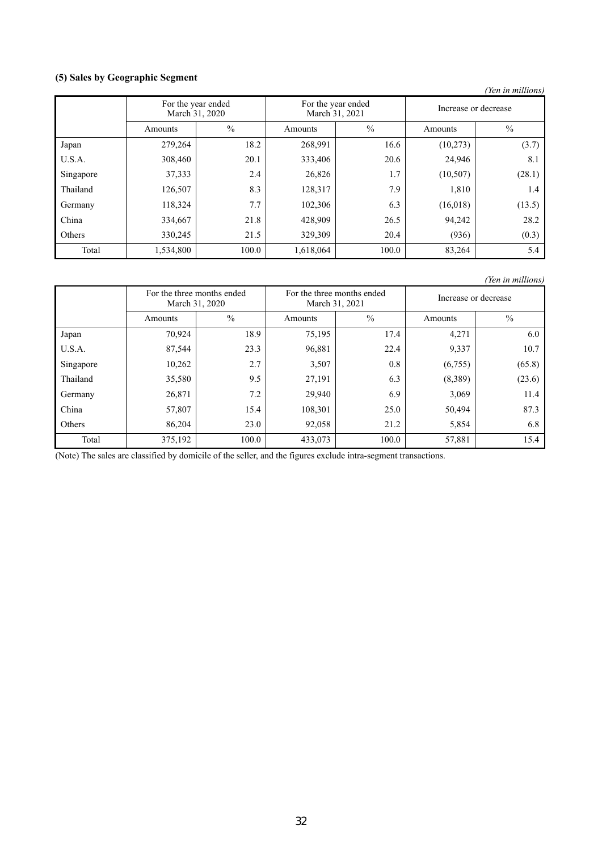## **(5) Sales by Geographic Segment**

|           |                                      |               |                                      |       |                      | (Yen in millions) |
|-----------|--------------------------------------|---------------|--------------------------------------|-------|----------------------|-------------------|
|           | For the year ended<br>March 31, 2020 |               | For the year ended<br>March 31, 2021 |       | Increase or decrease |                   |
|           | Amounts                              | $\frac{0}{0}$ | Amounts                              | $\%$  | Amounts              | $\frac{0}{0}$     |
| Japan     | 279,264                              | 18.2          | 268,991                              | 16.6  | (10,273)             | (3.7)             |
| U.S.A.    | 308,460                              | 20.1          | 333,406                              | 20.6  | 24,946               | 8.1               |
| Singapore | 37,333                               | 2.4           | 26,826                               | 1.7   | (10,507)             | (28.1)            |
| Thailand  | 126,507                              | 8.3           | 128,317                              | 7.9   | 1,810                | 1.4               |
| Germany   | 118,324                              | 7.7           | 102,306                              | 6.3   | (16,018)             | (13.5)            |
| China     | 334,667                              | 21.8          | 428,909                              | 26.5  | 94,242               | 28.2              |
| Others    | 330,245                              | 21.5          | 329,309                              | 20.4  | (936)                | (0.3)             |
| Total     | 1,534,800                            | 100.0         | 1,618,064                            | 100.0 | 83,264               | 5.4               |

*(Yen in millions)*

|           | For the three months ended<br>March 31, 2020 |               | For the three months ended<br>March 31, 2021 |               | Increase or decrease |               |
|-----------|----------------------------------------------|---------------|----------------------------------------------|---------------|----------------------|---------------|
|           | Amounts                                      | $\frac{0}{0}$ | Amounts                                      | $\frac{0}{0}$ | Amounts              | $\frac{0}{0}$ |
| Japan     | 70,924                                       | 18.9          | 75,195                                       | 17.4          | 4,271                | 6.0           |
| U.S.A.    | 87,544                                       | 23.3          | 96,881                                       | 22.4          | 9,337                | 10.7          |
| Singapore | 10,262                                       | 2.7           | 3,507                                        | 0.8           | (6,755)              | (65.8)        |
| Thailand  | 35,580                                       | 9.5           | 27,191                                       | 6.3           | (8,389)              | (23.6)        |
| Germany   | 26,871                                       | 7.2           | 29,940                                       | 6.9           | 3,069                | 11.4          |
| China     | 57,807                                       | 15.4          | 108,301                                      | 25.0          | 50,494               | 87.3          |
| Others    | 86,204                                       | 23.0          | 92,058                                       | 21.2          | 5,854                | 6.8           |
| Total     | 375,192                                      | 100.0         | 433,073                                      | 100.0         | 57,881               | 15.4          |

(Note) The sales are classified by domicile of the seller, and the figures exclude intra-segment transactions.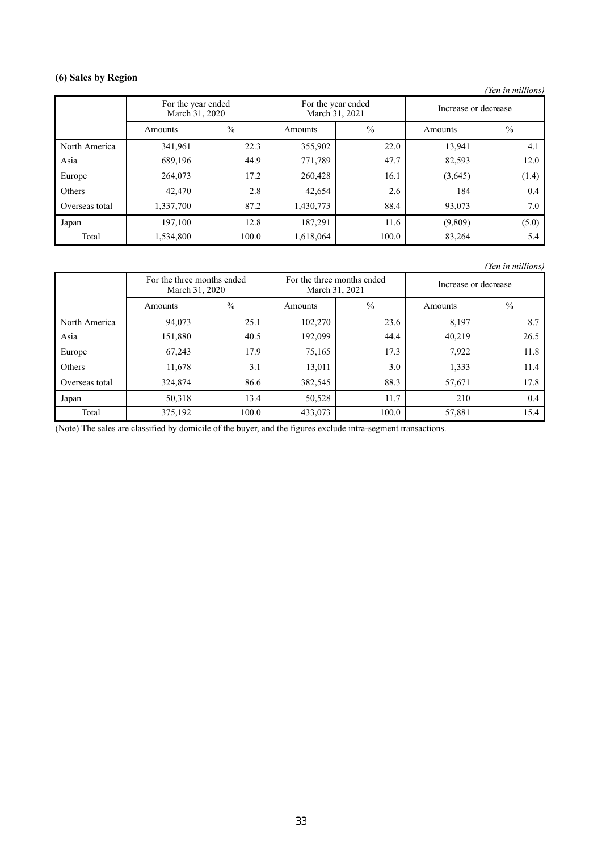## **(6) Sales by Region**

*(Yen in millions)*

|                | For the year ended<br>March 31, 2020 |               | March 31, 2021 | For the year ended | Increase or decrease |               |
|----------------|--------------------------------------|---------------|----------------|--------------------|----------------------|---------------|
|                | Amounts                              | $\frac{0}{0}$ | Amounts        | $\frac{0}{0}$      | Amounts              | $\frac{0}{0}$ |
| North America  | 341,961                              | 22.3          | 355,902        | 22.0               | 13,941               | 4.1           |
| Asia           | 689,196                              | 44.9          | 771,789        | 47.7               | 82,593               | 12.0          |
| Europe         | 264,073                              | 17.2          | 260,428        | 16.1               | (3,645)              | (1.4)         |
| Others         | 42,470                               | 2.8           | 42,654         | 2.6                | 184                  | 0.4           |
| Overseas total | 1,337,700                            | 87.2          | 1,430,773      | 88.4               | 93,073               | 7.0           |
| Japan          | 197,100                              | 12.8          | 187,291        | 11.6               | (9,809)              | (5.0)         |
| Total          | 1,534,800                            | 100.0         | 1,618,064      | 100.0              | 83,264               | 5.4           |

*(Yen in millions)*

|                | For the three months ended<br>March 31, 2020 |               | For the three months ended<br>March 31, 2021 |               | Increase or decrease |               |
|----------------|----------------------------------------------|---------------|----------------------------------------------|---------------|----------------------|---------------|
|                | Amounts                                      | $\frac{0}{0}$ | Amounts                                      | $\frac{0}{0}$ | Amounts              | $\frac{0}{0}$ |
| North America  | 94,073                                       | 25.1          | 102,270                                      | 23.6          | 8,197                | 8.7           |
| Asia           | 151,880                                      | 40.5          | 192,099                                      | 44.4          | 40,219               | 26.5          |
| Europe         | 67,243                                       | 17.9          | 75,165                                       | 17.3          | 7,922                | 11.8          |
| Others         | 11,678                                       | 3.1           | 13,011                                       | 3.0           | 1,333                | 11.4          |
| Overseas total | 324,874                                      | 86.6          | 382,545                                      | 88.3          | 57,671               | 17.8          |
| Japan          | 50,318                                       | 13.4          | 50,528                                       | 11.7          | 210                  | 0.4           |
| Total          | 375,192                                      | 100.0         | 433,073                                      | 100.0         | 57,881               | 15.4          |

(Note) The sales are classified by domicile of the buyer, and the figures exclude intra-segment transactions.